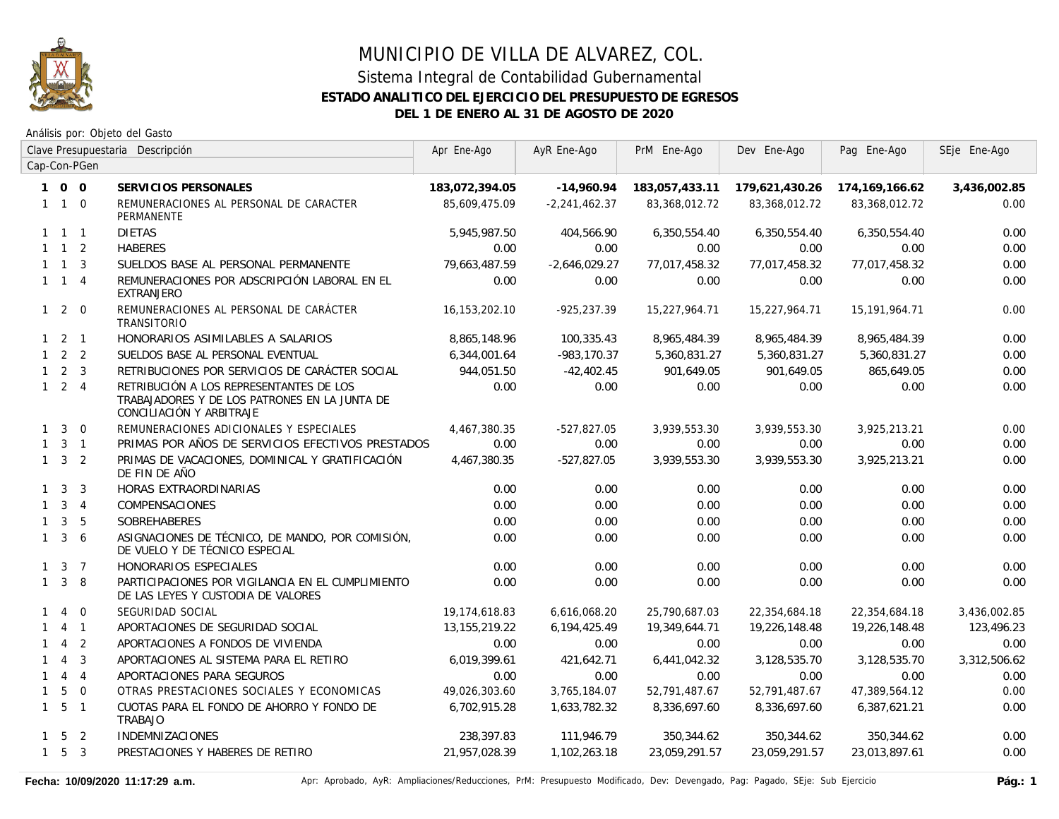

|              |                     |                | Clave Presupuestaria Descripción                                                                                     | Apr Ene-Ago      | AyR Ene-Ago     | PrM Ene-Ago    | Dev Ene-Ago    | Pag Ene-Ago    | SEje Ene-Ago |
|--------------|---------------------|----------------|----------------------------------------------------------------------------------------------------------------------|------------------|-----------------|----------------|----------------|----------------|--------------|
|              |                     | Cap-Con-PGen   |                                                                                                                      |                  |                 |                |                |                |              |
|              | 100                 |                | SERVICIOS PERSONALES                                                                                                 | 183,072,394.05   | $-14,960.94$    | 183,057,433.11 | 179,621,430.26 | 174,169,166.62 | 3,436,002.85 |
|              | $1\quad1\quad0$     |                | REMUNERACIONES AL PERSONAL DE CARACTER<br>PERMANENTE                                                                 | 85,609,475.09    | $-2,241,462.37$ | 83,368,012.72  | 83,368,012.72  | 83,368,012.72  | 0.00         |
|              | $1 \quad 1 \quad 1$ |                | <b>DIETAS</b>                                                                                                        | 5,945,987.50     | 404,566.90      | 6,350,554.40   | 6,350,554.40   | 6,350,554.40   | 0.00         |
|              | $1 \quad 1 \quad 2$ |                | <b>HABERES</b>                                                                                                       | 0.00             | 0.00            | 0.00           | 0.00           | 0.00           | 0.00         |
|              | $1 \quad 1 \quad 3$ |                | SUELDOS BASE AL PERSONAL PERMANENTE                                                                                  | 79,663,487.59    | $-2,646,029.27$ | 77,017,458.32  | 77,017,458.32  | 77,017,458.32  | 0.00         |
|              | $1 \quad 1 \quad 4$ |                | REMUNERACIONES POR ADSCRIPCIÓN LABORAL EN EL<br><b>EXTRANJERO</b>                                                    | 0.00             | 0.00            | 0.00           | 0.00           | 0.00           | 0.00         |
|              | $1\quad2\quad0$     |                | REMUNERACIONES AL PERSONAL DE CARÁCTER<br><b>TRANSITORIO</b>                                                         | 16.153.202.10    | $-925, 237.39$  | 15,227,964.71  | 15,227,964.71  | 15.191.964.71  | 0.00         |
|              | $1 \quad 2 \quad 1$ |                | HONORARIOS ASIMILABLES A SALARIOS                                                                                    | 8.865.148.96     | 100,335.43      | 8,965,484.39   | 8,965,484.39   | 8,965,484.39   | 0.00         |
|              | $1\quad 2\quad 2$   |                | SUELDOS BASE AL PERSONAL EVENTUAL                                                                                    | 6,344,001.64     | $-983, 170.37$  | 5,360,831.27   | 5,360,831.27   | 5,360,831.27   | 0.00         |
|              | $1 \quad 2 \quad 3$ |                | RETRIBUCIONES POR SERVICIOS DE CARÁCTER SOCIAL                                                                       | 944,051.50       | $-42,402.45$    | 901,649.05     | 901,649.05     | 865,649.05     | 0.00         |
|              | $1 \quad 2 \quad 4$ |                | RETRIBUCIÓN A LOS REPRESENTANTES DE LOS<br>TRABAJADORES Y DE LOS PATRONES EN LA JUNTA DE<br>CONCILIACIÓN Y ARBITRAJE | 0.00             | 0.00            | 0.00           | 0.00           | 0.00           | 0.00         |
| $\mathbf{1}$ | $\overline{3}$      | $\overline{0}$ | REMUNERACIONES ADICIONALES Y ESPECIALES                                                                              | 4,467,380.35     | $-527,827.05$   | 3,939,553.30   | 3,939,553.30   | 3,925,213.21   | 0.00         |
|              | $1 \quad 3 \quad 1$ |                | PRIMAS POR AÑOS DE SERVICIOS EFECTIVOS PRESTADOS                                                                     | 0.00             | 0.00            | 0.00           | 0.00           | 0.00           | 0.00         |
|              | $1 \quad 3 \quad 2$ |                | PRIMAS DE VACACIONES, DOMINICAL Y GRATIFICACIÓN<br>DE FIN DE AÑO                                                     | 4,467,380.35     | $-527,827.05$   | 3,939,553.30   | 3,939,553.30   | 3,925,213.21   | 0.00         |
|              | $1 \quad 3$         | 3              | HORAS EXTRAORDINARIAS                                                                                                | 0.00             | 0.00            | 0.00           | 0.00           | 0.00           | 0.00         |
| $\mathbf{1}$ |                     | $3 \quad 4$    | COMPENSACIONES                                                                                                       | 0.00             | 0.00            | 0.00           | 0.00           | 0.00           | 0.00         |
| $\mathbf{1}$ | 3                   | 5              | <b>SOBREHABERES</b>                                                                                                  | 0.00             | 0.00            | 0.00           | 0.00           | 0.00           | 0.00         |
| $\mathbf{1}$ | $\mathbf{3}$        | 6              | ASIGNACIONES DE TÉCNICO, DE MANDO, POR COMISIÓN,<br>DE VUELO Y DE TÉCNICO ESPECIAL                                   | 0.00             | 0.00            | 0.00           | 0.00           | 0.00           | 0.00         |
|              | $1 \quad 3 \quad 7$ |                | HONORARIOS ESPECIALES                                                                                                | 0.00             | 0.00            | 0.00           | 0.00           | 0.00           | 0.00         |
|              | $1 \quad 3$         | -8             | PARTICIPACIONES POR VIGILANCIA EN EL CUMPLIMIENTO<br>DE LAS LEYES Y CUSTODIA DE VALORES                              | 0.00             | 0.00            | 0.00           | 0.00           | 0.00           | 0.00         |
| 1            | $\overline{4}$      | $\Omega$       | SEGURIDAD SOCIAL                                                                                                     | 19,174,618.83    | 6,616,068.20    | 25,790,687.03  | 22,354,684.18  | 22,354,684.18  | 3,436,002.85 |
| 1            |                     | 4 1            | APORTACIONES DE SEGURIDAD SOCIAL                                                                                     | 13, 155, 219. 22 | 6,194,425.49    | 19,349,644.71  | 19,226,148.48  | 19,226,148.48  | 123,496.23   |
| $\mathbf{1}$ | $\overline{4}$      | $\overline{2}$ | APORTACIONES A FONDOS DE VIVIENDA                                                                                    | 0.00             | 0.00            | 0.00           | 0.00           | 0.00           | 0.00         |
| $\mathbf{1}$ | $\overline{4}$      | $\mathbf{3}$   | APORTACIONES AL SISTEMA PARA EL RETIRO                                                                               | 6,019,399.61     | 421,642.71      | 6,441,042.32   | 3,128,535.70   | 3,128,535.70   | 3,312,506.62 |
| $\mathbf{1}$ | $\overline{4}$      | $\overline{4}$ | APORTACIONES PARA SEGUROS                                                                                            | 0.00             | 0.00            | 0.00           | 0.00           | 0.00           | 0.00         |
| $\mathbf{1}$ | 5                   | $\overline{0}$ | OTRAS PRESTACIONES SOCIALES Y ECONOMICAS                                                                             | 49,026,303.60    | 3,765,184.07    | 52,791,487.67  | 52,791,487.67  | 47,389,564.12  | 0.00         |
|              | $1\quad 5\quad 1$   |                | CUOTAS PARA EL FONDO DE AHORRO Y FONDO DE<br>TRABAJO                                                                 | 6,702,915.28     | 1,633,782.32    | 8,336,697.60   | 8,336,697.60   | 6,387,621.21   | 0.00         |
|              | $1\quad 5\quad 2$   |                | <b>INDEMNIZACIONES</b>                                                                                               | 238,397.83       | 111,946.79      | 350,344.62     | 350,344.62     | 350,344.62     | 0.00         |
|              | $1\quad 5\quad 3$   |                | PRESTACIONES Y HABERES DE RETIRO                                                                                     | 21,957,028.39    | 1,102,263.18    | 23,059,291.57  | 23,059,291.57  | 23,013,897.61  | 0.00         |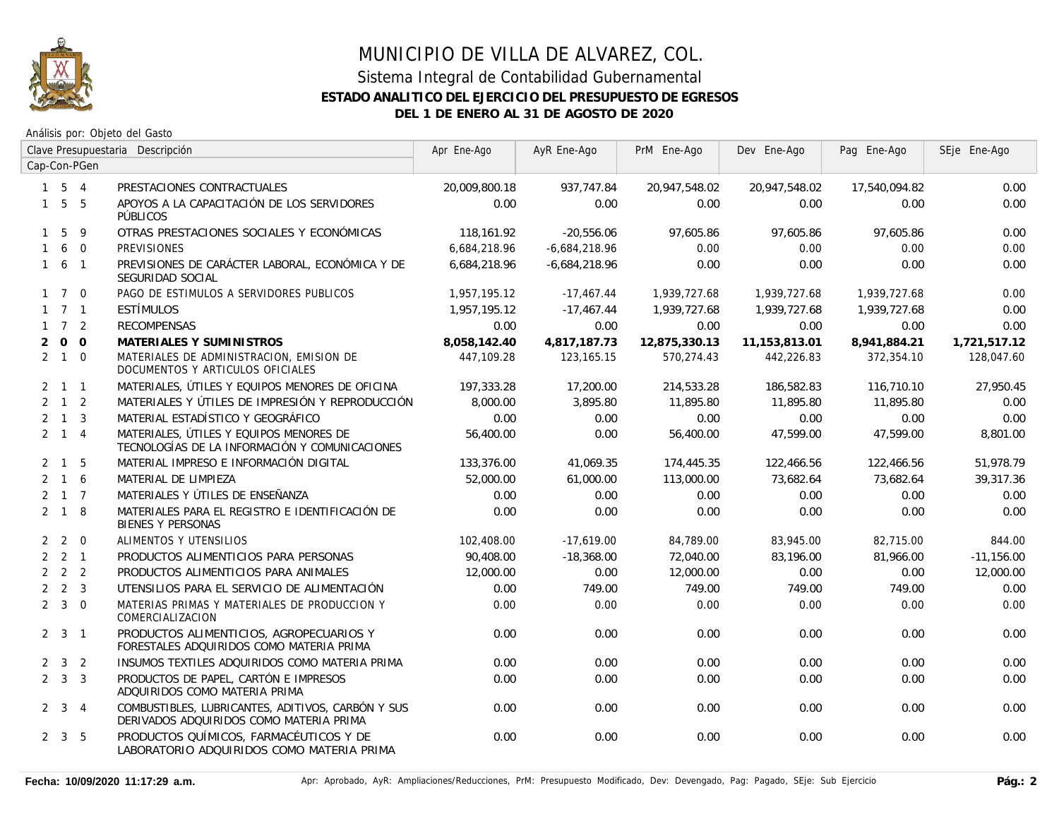

|              |                     |              | Clave Presupuestaria Descripción                                                             | Apr Ene-Ago   | AyR Ene-Ago     | PrM Ene-Ago   | Dev Ene-Ago   | Pag Ene-Ago   | SEje Ene-Ago |
|--------------|---------------------|--------------|----------------------------------------------------------------------------------------------|---------------|-----------------|---------------|---------------|---------------|--------------|
|              |                     | Cap-Con-PGen |                                                                                              |               |                 |               |               |               |              |
|              | $1\quad 5\quad 4$   |              | PRESTACIONES CONTRACTUALES                                                                   | 20,009,800.18 | 937.747.84      | 20,947,548.02 | 20,947,548.02 | 17,540,094.82 | 0.00         |
|              | $1\quad 5\quad 5$   |              | APOYOS A LA CAPACITACIÓN DE LOS SERVIDORES<br><b>PÚBLICOS</b>                                | 0.00          | 0.00            | 0.00          | 0.00          | 0.00          | 0.00         |
|              | $1\quad5$           | - 9          | OTRAS PRESTACIONES SOCIALES Y ECONÓMICAS                                                     | 118,161.92    | $-20,556.06$    | 97,605.86     | 97,605.86     | 97,605.86     | 0.00         |
| $\mathbf{1}$ |                     | 6 0          | <b>PREVISIONES</b>                                                                           | 6,684,218.96  | $-6,684,218.96$ | 0.00          | 0.00          | 0.00          | 0.00         |
|              | $1\quad 6\quad 1$   |              | PREVISIONES DE CARÁCTER LABORAL, ECONÓMICA Y DE<br>SEGURIDAD SOCIAL                          | 6,684,218.96  | $-6,684,218.96$ | 0.00          | 0.00          | 0.00          | 0.00         |
|              | $1 \quad 7 \quad 0$ |              | PAGO DE ESTIMULOS A SERVIDORES PUBLICOS                                                      | 1,957,195.12  | $-17,467.44$    | 1,939,727.68  | 1,939,727.68  | 1,939,727.68  | 0.00         |
|              | $1 \quad 7 \quad 1$ |              | <b>ESTÍMULOS</b>                                                                             | 1,957,195.12  | $-17,467.44$    | 1,939,727.68  | 1,939,727.68  | 1,939,727.68  | 0.00         |
|              | $1 \quad 7 \quad 2$ |              | <b>RECOMPENSAS</b>                                                                           | 0.00          | 0.00            | 0.00          | 0.00          | 0.00          | 0.00         |
| 2            | $0\quad 0$          |              | MATERIALES Y SUMINISTROS                                                                     | 8.058.142.40  | 4,817,187.73    | 12,875,330.13 | 11,153,813.01 | 8.941.884.21  | 1,721,517.12 |
|              | $2 \quad 1 \quad 0$ |              | MATERIALES DE ADMINISTRACION, EMISION DE<br>DOCUMENTOS Y ARTICULOS OFICIALES                 | 447,109.28    | 123, 165. 15    | 570,274.43    | 442,226.83    | 372,354.10    | 128,047.60   |
|              | $2 \quad 1 \quad 1$ |              | MATERIALES, ÚTILES Y EQUIPOS MENORES DE OFICINA                                              | 197,333.28    | 17,200.00       | 214,533.28    | 186,582.83    | 116,710.10    | 27,950.45    |
|              | $2 \quad 1 \quad 2$ |              | MATERIALES Y ÚTILES DE IMPRESIÓN Y REPRODUCCIÓN                                              | 8,000.00      | 3,895.80        | 11,895.80     | 11,895.80     | 11,895.80     | 0.00         |
|              | $2 \quad 1 \quad 3$ |              | MATERIAL ESTADÍSTICO Y GEOGRÁFICO                                                            | 0.00          | 0.00            | 0.00          | 0.00          | 0.00          | 0.00         |
|              | $2 \quad 1 \quad 4$ |              | MATERIALES, ÚTILES Y EQUIPOS MENORES DE<br>TECNOLOGÍAS DE LA INFORMACIÓN Y COMUNICACIONES    | 56,400.00     | 0.00            | 56,400.00     | 47.599.00     | 47,599.00     | 8,801.00     |
|              | $2 \quad 1 \quad 5$ |              | MATERIAL IMPRESO E INFORMACIÓN DIGITAL                                                       | 133,376.00    | 41,069.35       | 174,445.35    | 122,466.56    | 122,466.56    | 51,978.79    |
|              | $2 \t1 \t6$         |              | MATERIAL DE LIMPIEZA                                                                         | 52,000.00     | 61,000.00       | 113,000.00    | 73,682.64     | 73,682.64     | 39,317.36    |
|              | $2 \t1 \t7$         |              | MATERIALES Y ÚTILES DE ENSEÑANZA                                                             | 0.00          | 0.00            | 0.00          | 0.00          | 0.00          | 0.00         |
|              | $2 \quad 1 \quad 8$ |              | MATERIALES PARA EL REGISTRO E IDENTIFICACIÓN DE<br><b>BIENES Y PERSONAS</b>                  | 0.00          | 0.00            | 0.00          | 0.00          | 0.00          | 0.00         |
|              | $2\quad 2\quad 0$   |              | ALIMENTOS Y UTENSILIOS                                                                       | 102,408.00    | $-17,619.00$    | 84,789.00     | 83,945.00     | 82.715.00     | 844.00       |
|              | $2 \quad 2 \quad 1$ |              | PRODUCTOS ALIMENTICIOS PARA PERSONAS                                                         | 90.408.00     | $-18,368.00$    | 72.040.00     | 83,196.00     | 81,966.00     | $-11,156.00$ |
|              | $2 \quad 2 \quad 2$ |              | PRODUCTOS ALIMENTICIOS PARA ANIMALES                                                         | 12,000.00     | 0.00            | 12,000.00     | 0.00          | 0.00          | 12,000.00    |
|              | $2 \quad 2 \quad 3$ |              | UTENSILIOS PARA EL SERVICIO DE ALIMENTACIÓN                                                  | 0.00          | 749.00          | 749.00        | 749.00        | 749.00        | 0.00         |
|              | $2 \quad 3 \quad 0$ |              | MATERIAS PRIMAS Y MATERIALES DE PRODUCCION Y<br>COMERCIALIZACION                             | 0.00          | 0.00            | 0.00          | 0.00          | 0.00          | 0.00         |
|              | $2 \quad 3 \quad 1$ |              | PRODUCTOS ALIMENTICIOS, AGROPECUARIOS Y<br>FORESTALES ADQUIRIDOS COMO MATERIA PRIMA          | 0.00          | 0.00            | 0.00          | 0.00          | 0.00          | 0.00         |
|              | $2 \quad 3 \quad 2$ |              | INSUMOS TEXTILES ADQUIRIDOS COMO MATERIA PRIMA                                               | 0.00          | 0.00            | 0.00          | 0.00          | 0.00          | 0.00         |
|              | $2 \quad 3 \quad 3$ |              | PRODUCTOS DE PAPEL, CARTÓN E IMPRESOS<br>ADQUIRIDOS COMO MATERIA PRIMA                       | 0.00          | 0.00            | 0.00          | 0.00          | 0.00          | 0.00         |
|              | $2 \quad 3 \quad 4$ |              | COMBUSTIBLES, LUBRICANTES, ADITIVOS, CARBÓN Y SUS<br>DERIVADOS ADQUIRIDOS COMO MATERIA PRIMA | 0.00          | 0.00            | 0.00          | 0.00          | 0.00          | 0.00         |
|              | $2 \quad 3 \quad 5$ |              | PRODUCTOS QUÍMICOS, FARMACÉUTICOS Y DE<br>LABORATORIO ADQUIRIDOS COMO MATERIA PRIMA          | 0.00          | 0.00            | 0.00          | 0.00          | 0.00          | 0.00         |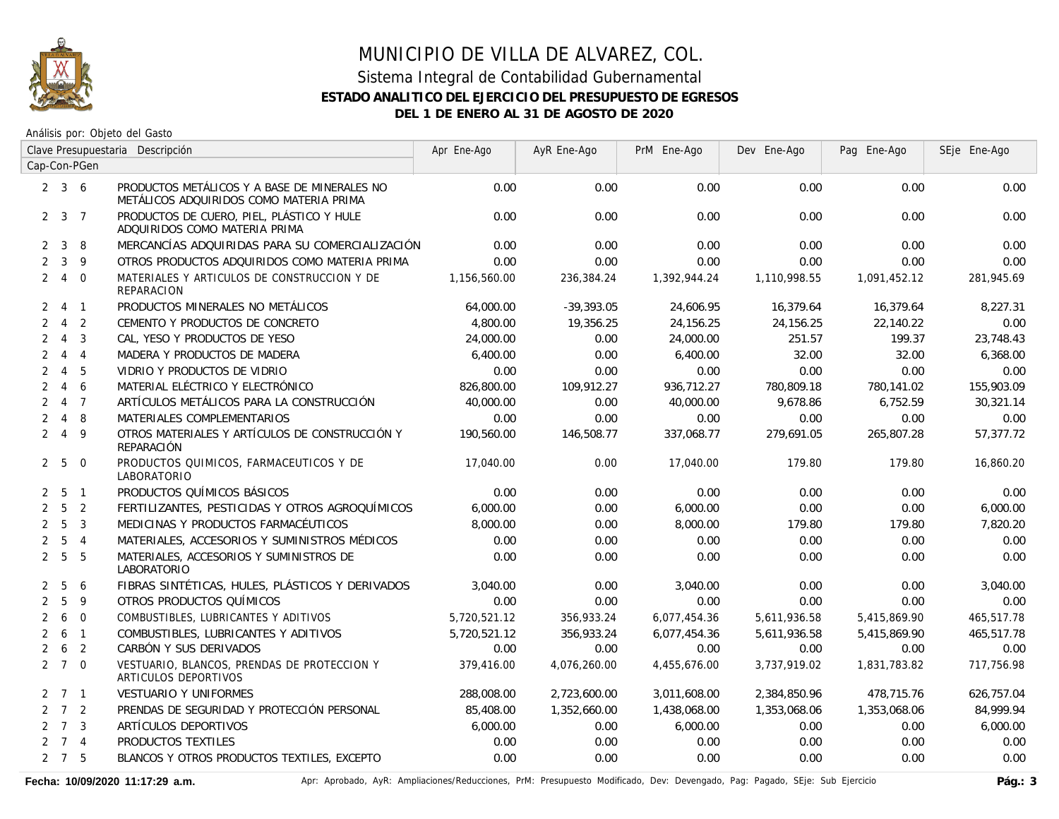

Análisis por: Objeto del Gasto

|                | Clave Presupuestaria Descripción |                |                                                                                         | Apr Ene-Ago  | AyR Ene-Ago  | PrM Ene-Ago  | Dev Ene-Ago  | Pag Ene-Ago  | SEje Ene-Ago |
|----------------|----------------------------------|----------------|-----------------------------------------------------------------------------------------|--------------|--------------|--------------|--------------|--------------|--------------|
|                |                                  | Cap-Con-PGen   |                                                                                         |              |              |              |              |              |              |
|                | $2 \quad 3 \quad 6$              |                | PRODUCTOS METÁLICOS Y A BASE DE MINERALES NO<br>METÁLICOS ADQUIRIDOS COMO MATERIA PRIMA | 0.00         | 0.00         | 0.00         | 0.00         | 0.00         | 0.00         |
|                | $2 \quad 3 \quad 7$              |                | PRODUCTOS DE CUERO, PIEL, PLÁSTICO Y HULE<br>ADQUIRIDOS COMO MATERIA PRIMA              | 0.00         | 0.00         | 0.00         | 0.00         | 0.00         | 0.00         |
| $\mathbf{2}$   | $\mathbf{3}$                     | 8              | MERCANCÍAS ADQUIRIDAS PARA SU COMERCIALIZACIÓN                                          | 0.00         | 0.00         | 0.00         | 0.00         | 0.00         | 0.00         |
| $\overline{2}$ | $\mathbf{3}$                     | 9              | OTROS PRODUCTOS ADQUIRIDOS COMO MATERIA PRIMA                                           | 0.00         | 0.00         | 0.00         | 0.00         | 0.00         | 0.00         |
| $\overline{2}$ | $\overline{4}$                   | $\overline{0}$ | MATERIALES Y ARTICULOS DE CONSTRUCCION Y DE<br><b>REPARACION</b>                        | 1,156,560.00 | 236,384.24   | 1,392,944.24 | 1,110,998.55 | 1,091,452.12 | 281,945.69   |
| $\mathbf{2}$   | $\overline{4}$                   | $\overline{1}$ | PRODUCTOS MINERALES NO METÁLICOS                                                        | 64,000.00    | $-39,393.05$ | 24,606.95    | 16,379.64    | 16,379.64    | 8,227.31     |
| $\overline{2}$ | $\overline{4}$                   | 2              | CEMENTO Y PRODUCTOS DE CONCRETO                                                         | 4,800.00     | 19,356.25    | 24,156.25    | 24,156.25    | 22,140.22    | 0.00         |
| $\overline{2}$ | $\overline{4}$                   | 3              | CAL, YESO Y PRODUCTOS DE YESO                                                           | 24,000.00    | 0.00         | 24,000.00    | 251.57       | 199.37       | 23,748.43    |
| $\overline{2}$ | $\overline{4}$                   | $\overline{4}$ | MADERA Y PRODUCTOS DE MADERA                                                            | 6,400.00     | 0.00         | 6,400.00     | 32.00        | 32.00        | 6,368.00     |
| $\overline{2}$ | $\overline{4}$                   | 5              | VIDRIO Y PRODUCTOS DE VIDRIO                                                            | 0.00         | 0.00         | 0.00         | 0.00         | 0.00         | 0.00         |
| $\overline{2}$ | $\overline{4}$                   | 6              | MATERIAL ELÉCTRICO Y ELECTRÓNICO                                                        | 826,800.00   | 109,912.27   | 936,712.27   | 780,809.18   | 780,141.02   | 155,903.09   |
| $\overline{2}$ | $\overline{4}$                   | $\overline{7}$ | ARTÍCULOS METÁLICOS PARA LA CONSTRUCCIÓN                                                | 40,000.00    | 0.00         | 40,000.00    | 9,678.86     | 6,752.59     | 30,321.14    |
| $\overline{2}$ | $\overline{4}$                   | 8              | MATERIALES COMPLEMENTARIOS                                                              | 0.00         | 0.00         | 0.00         | 0.00         | 0.00         | 0.00         |
| $\overline{2}$ | $\overline{4}$                   | 9              | OTROS MATERIALES Y ARTÍCULOS DE CONSTRUCCIÓN Y<br>REPARACIÓN                            | 190,560.00   | 146,508.77   | 337,068.77   | 279,691.05   | 265,807.28   | 57,377.72    |
| $\overline{2}$ | 5                                | $\overline{0}$ | PRODUCTOS QUIMICOS, FARMACEUTICOS Y DE<br><b>LABORATORIO</b>                            | 17,040.00    | 0.00         | 17,040.00    | 179.80       | 179.80       | 16,860.20    |
| $\mathbf{2}$   | 5                                | $\overline{1}$ | PRODUCTOS QUÍMICOS BÁSICOS                                                              | 0.00         | 0.00         | 0.00         | 0.00         | 0.00         | 0.00         |
| $\overline{2}$ | 5                                | $\overline{2}$ | FERTILIZANTES, PESTICIDAS Y OTROS AGROQUÍMICOS                                          | 6,000.00     | 0.00         | 6,000.00     | 0.00         | 0.00         | 6,000.00     |
| $\overline{2}$ | 5                                | 3              | MEDICINAS Y PRODUCTOS FARMACÉUTICOS                                                     | 8,000.00     | 0.00         | 8,000.00     | 179.80       | 179.80       | 7,820.20     |
| $\overline{2}$ | 5                                | $\overline{4}$ | MATERIALES, ACCESORIOS Y SUMINISTROS MÉDICOS                                            | 0.00         | 0.00         | 0.00         | 0.00         | 0.00         | 0.00         |
| $\overline{2}$ | $5\overline{)}$                  | 5              | MATERIALES, ACCESORIOS Y SUMINISTROS DE<br><b>LABORATORIO</b>                           | 0.00         | 0.00         | 0.00         | 0.00         | 0.00         | 0.00         |
| $\overline{2}$ | 5                                | 6              | FIBRAS SINTÉTICAS, HULES, PLÁSTICOS Y DERIVADOS                                         | 3,040.00     | 0.00         | 3,040.00     | 0.00         | 0.00         | 3,040.00     |
| $\overline{2}$ | 5                                | 9              | OTROS PRODUCTOS QUÍMICOS                                                                | 0.00         | 0.00         | 0.00         | 0.00         | 0.00         | 0.00         |
| $\overline{2}$ | 6                                | $\overline{0}$ | COMBUSTIBLES, LUBRICANTES Y ADITIVOS                                                    | 5,720,521.12 | 356,933.24   | 6,077,454.36 | 5,611,936.58 | 5,415,869.90 | 465,517.78   |
| $\overline{2}$ | 6                                | $\overline{1}$ | COMBUSTIBLES, LUBRICANTES Y ADITIVOS                                                    | 5,720,521.12 | 356,933.24   | 6,077,454.36 | 5,611,936.58 | 5,415,869.90 | 465,517.78   |
| $\overline{2}$ | 6                                | $\overline{2}$ | CARBÓN Y SUS DERIVADOS                                                                  | 0.00         | 0.00         | 0.00         | 0.00         | 0.00         | 0.00         |
|                | $2 \quad 7 \quad 0$              |                | VESTUARIO, BLANCOS, PRENDAS DE PROTECCION Y<br>ARTICULOS DEPORTIVOS                     | 379,416.00   | 4,076,260.00 | 4,455,676.00 | 3,737,919.02 | 1,831,783.82 | 717,756.98   |
|                | $2 \quad 7 \quad 1$              |                | <b>VESTUARIO Y UNIFORMES</b>                                                            | 288,008.00   | 2,723,600.00 | 3,011,608.00 | 2,384,850.96 | 478,715.76   | 626,757.04   |
|                | $2 \quad 7 \quad 2$              |                | PRENDAS DE SEGURIDAD Y PROTECCIÓN PERSONAL                                              | 85,408.00    | 1,352,660.00 | 1,438,068.00 | 1,353,068.06 | 1,353,068.06 | 84,999.94    |
|                | $2 \quad 7 \quad 3$              |                | ARTÍCULOS DEPORTIVOS                                                                    | 6,000.00     | 0.00         | 6,000.00     | 0.00         | 0.00         | 6,000.00     |
|                | $2 \quad 7 \quad 4$              |                | PRODUCTOS TEXTILES                                                                      | 0.00         | 0.00         | 0.00         | 0.00         | 0.00         | 0.00         |
|                | $2 \quad 7 \quad 5$              |                | BLANCOS Y OTROS PRODUCTOS TEXTILES, EXCEPTO                                             | 0.00         | 0.00         | 0.00         | 0.00         | 0.00         | 0.00         |

Fecha: 10/09/2020 11:17:29 a.m. **Aprical Access** Aprical AyR: Ampliaciones/Reducciones, PrM: Presupuesto Modificado, Dev: Devengado, Pag: Pagado, SEje: Sub Ejercicio Pág.: 3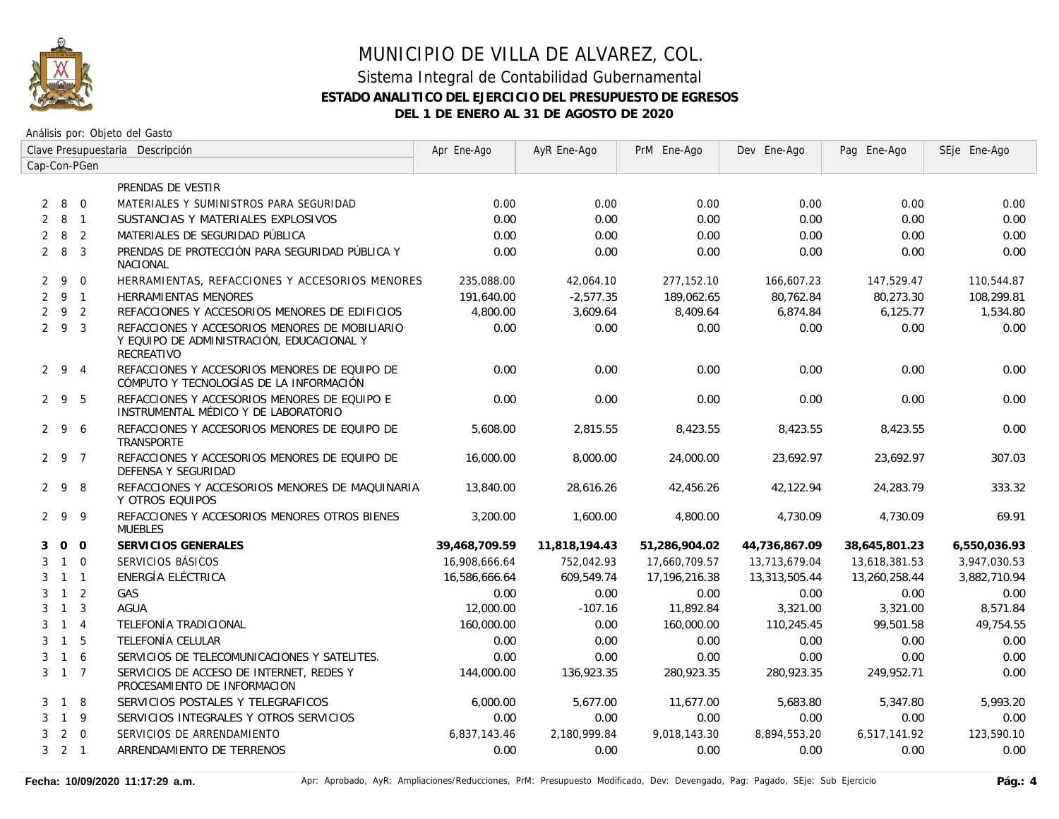

|   | Clave Presupuestaria Descripción |                | Apr Ene-Ago                                                                                               | AyR Ene-Ago   | PrM Ene-Ago   | Dev Ene-Ago   | Pag Ene-Ago   | SEje Ene-Ago  |              |
|---|----------------------------------|----------------|-----------------------------------------------------------------------------------------------------------|---------------|---------------|---------------|---------------|---------------|--------------|
|   |                                  | Cap-Con-PGen   |                                                                                                           |               |               |               |               |               |              |
|   |                                  |                | PRENDAS DE VESTIR                                                                                         |               |               |               |               |               |              |
|   | 280                              |                | MATERIALES Y SUMINISTROS PARA SEGURIDAD                                                                   | 0.00          | 0.00          | 0.00          | 0.00          | 0.00          | 0.00         |
| 2 | 8 1                              |                | SUSTANCIAS Y MATERIALES EXPLOSIVOS                                                                        | 0.00          | 0.00          | 0.00          | 0.00          | 0.00          | 0.00         |
| 2 | 8                                | $\overline{2}$ | MATERIALES DE SEGURIDAD PÚBLICA                                                                           | 0.00          | 0.00          | 0.00          | 0.00          | 0.00          | 0.00         |
|   | $2 \quad 8$                      | $\overline{3}$ | PRENDAS DE PROTECCIÓN PARA SEGURIDAD PÚBLICA Y<br><b>NACIONAL</b>                                         | 0.00          | 0.00          | 0.00          | 0.00          | 0.00          | 0.00         |
| 2 | 9                                | $\Omega$       | HERRAMIENTAS, REFACCIONES Y ACCESORIOS MENORES                                                            | 235,088.00    | 42,064.10     | 277,152.10    | 166.607.23    | 147,529.47    | 110,544.87   |
|   | 291                              |                | <b>HERRAMIENTAS MENORES</b>                                                                               | 191,640.00    | $-2,577.35$   | 189,062.65    | 80,762.84     | 80,273.30     | 108,299.81   |
|   | $2 \quad 9 \quad 2$              |                | REFACCIONES Y ACCESORIOS MENORES DE EDIFICIOS                                                             | 4,800.00      | 3,609.64      | 8,409.64      | 6,874.84      | 6,125.77      | 1,534.80     |
|   | $2\quad 9\quad 3$                |                | REFACCIONES Y ACCESORIOS MENORES DE MOBILIARIO<br>Y EQUIPO DE ADMINISTRACIÓN, EDUCACIONAL Y<br>RECREATIVO | 0.00          | 0.00          | 0.00          | 0.00          | 0.00          | 0.00         |
|   | $2 \quad 9 \quad 4$              |                | REFACCIONES Y ACCESORIOS MENORES DE EQUIPO DE<br>CÓMPUTO Y TECNOLOGÍAS DE LA INFORMACIÓN                  | 0.00          | 0.00          | 0.00          | 0.00          | 0.00          | 0.00         |
|   | 295                              |                | REFACCIONES Y ACCESORIOS MENORES DE EQUIPO E<br>INSTRUMENTAL MÉDICO Y DE LABORATORIO                      | 0.00          | 0.00          | 0.00          | 0.00          | 0.00          | 0.00         |
|   | 296                              |                | REFACCIONES Y ACCESORIOS MENORES DE EQUIPO DE<br>TRANSPORTE                                               | 5,608.00      | 2,815.55      | 8,423.55      | 8,423.55      | 8,423.55      | 0.00         |
|   | 2 9 7                            |                | REFACCIONES Y ACCESORIOS MENORES DE EQUIPO DE<br>DEFENSA Y SEGURIDAD                                      | 16,000.00     | 8,000.00      | 24,000.00     | 23,692.97     | 23,692.97     | 307.03       |
|   | 298                              |                | REFACCIONES Y ACCESORIOS MENORES DE MAQUINARIA<br>Y OTROS EQUIPOS                                         | 13,840.00     | 28,616.26     | 42,456.26     | 42,122.94     | 24,283.79     | 333.32       |
|   | 299                              |                | REFACCIONES Y ACCESORIOS MENORES OTROS BIENES<br><b>MUEBLES</b>                                           | 3,200.00      | 1,600.00      | 4,800.00      | 4,730.09      | 4,730.09      | 69.91        |
| 3 |                                  | $0\quad 0$     | SERVICIOS GENERALES                                                                                       | 39,468,709.59 | 11,818,194.43 | 51,286,904.02 | 44,736,867.09 | 38,645,801.23 | 6,550,036.93 |
| 3 |                                  | $1\quad 0$     | SERVICIOS BÁSICOS                                                                                         | 16,908,666.64 | 752,042.93    | 17,660,709.57 | 13,713,679.04 | 13,618,381.53 | 3,947,030.53 |
| 3 | $1 \quad 1$                      |                | ENERGÍA ELÉCTRICA                                                                                         | 16,586,666.64 | 609,549.74    | 17,196,216.38 | 13,313,505.44 | 13,260,258.44 | 3,882,710.94 |
| 3 | $1\quad 2$                       |                | GAS                                                                                                       | 0.00          | 0.00          | 0.00          | 0.00          | 0.00          | 0.00         |
| 3 | $\overline{1}$                   | $\overline{3}$ | <b>AGUA</b>                                                                                               | 12,000.00     | $-107.16$     | 11,892.84     | 3,321.00      | 3,321.00      | 8,571.84     |
| 3 | $\overline{1}$                   | $\overline{4}$ | TELEFONÍA TRADICIONAL                                                                                     | 160,000.00    | 0.00          | 160,000.00    | 110,245.45    | 99,501.58     | 49,754.55    |
| 3 | $\overline{1}$                   | 5              | TELEFONÍA CELULAR                                                                                         | 0.00          | 0.00          | 0.00          | 0.00          | 0.00          | 0.00         |
| 3 | $1\quad6$                        |                | SERVICIOS DE TELECOMUNICACIONES Y SATELITES.                                                              | 0.00          | 0.00          | 0.00          | 0.00          | 0.00          | 0.00         |
|   | $3 \t1 \t7$                      |                | SERVICIOS DE ACCESO DE INTERNET. REDES Y<br>PROCESAMIENTO DE INFORMACION                                  | 144,000.00    | 136,923.35    | 280,923.35    | 280,923.35    | 249.952.71    | 0.00         |
| 3 | $\overline{1}$                   | -8             | SERVICIOS POSTALES Y TELEGRAFICOS                                                                         | 6,000.00      | 5.677.00      | 11,677.00     | 5,683.80      | 5,347.80      | 5,993.20     |
| 3 | 1 9                              |                | SERVICIOS INTEGRALES Y OTROS SERVICIOS                                                                    | 0.00          | 0.00          | 0.00          | 0.00          | 0.00          | 0.00         |
| 3 |                                  | $2 \quad 0$    | SERVICIOS DE ARRENDAMIENTO                                                                                | 6,837,143.46  | 2,180,999.84  | 9,018,143.30  | 8,894,553.20  | 6,517,141.92  | 123,590.10   |
|   | $3 \quad 2 \quad 1$              |                | ARRENDAMIENTO DE TERRENOS                                                                                 | 0.00          | 0.00          | 0.00          | 0.00          | 0.00          | 0.00         |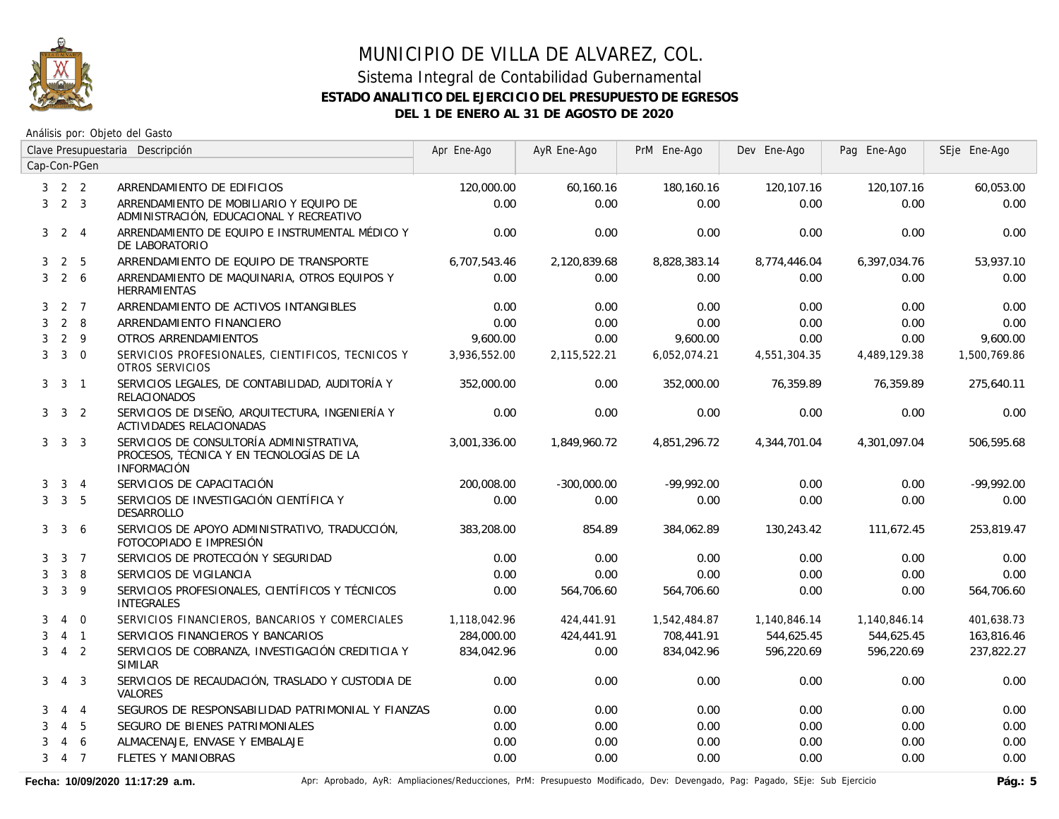

## MUNICIPIO DE VILLA DE ALVAREZ, COL. Sistema Integral de Contabilidad Gubernamental

#### **ESTADO ANALITICO DEL EJERCICIO DEL PRESUPUESTO DE EGRESOS**

**DEL 1 DE ENERO AL 31 DE AGOSTO DE 2020**

Análisis por: Objeto del Gasto

|   |                     |                 | Clave Presupuestaria Descripción                                                                           | Apr Ene-Ago  | AyR Ene-Ago   | PrM Ene-Ago  | Dev Ene-Ago  | Pag Ene-Ago  | SEje Ene-Ago |
|---|---------------------|-----------------|------------------------------------------------------------------------------------------------------------|--------------|---------------|--------------|--------------|--------------|--------------|
|   |                     | Cap-Con-PGen    |                                                                                                            |              |               |              |              |              |              |
|   | $3 \quad 2 \quad 2$ |                 | ARRENDAMIENTO DE EDIFICIOS                                                                                 | 120,000.00   | 60,160.16     | 180,160.16   | 120,107.16   | 120,107.16   | 60,053.00    |
| 3 | 2 <sup>3</sup>      |                 | ARRENDAMIENTO DE MOBILIARIO Y EQUIPO DE<br>ADMINISTRACIÓN, EDUCACIONAL Y RECREATIVO                        | 0.00         | 0.00          | 0.00         | 0.00         | 0.00         | 0.00         |
| 3 |                     | $2 \quad 4$     | ARRENDAMIENTO DE EQUIPO E INSTRUMENTAL MÉDICO Y<br>DE LABORATORIO                                          | 0.00         | 0.00          | 0.00         | 0.00         | 0.00         | 0.00         |
| 3 | $\overline{2}$      | 5               | ARRENDAMIENTO DE EQUIPO DE TRANSPORTE                                                                      | 6,707,543.46 | 2,120,839.68  | 8,828,383.14 | 8,774,446.04 | 6,397,034.76 | 53,937.10    |
| 3 |                     | $2\overline{6}$ | ARRENDAMIENTO DE MAQUINARIA, OTROS EQUIPOS Y<br><b>HERRAMIENTAS</b>                                        | 0.00         | 0.00          | 0.00         | 0.00         | 0.00         | 0.00         |
| 3 |                     | 2 7             | ARRENDAMIENTO DE ACTIVOS INTANGIBLES                                                                       | 0.00         | 0.00          | 0.00         | 0.00         | 0.00         | 0.00         |
| 3 |                     | $2 \quad 8$     | ARRENDAMIENTO FINANCIERO                                                                                   | 0.00         | 0.00          | 0.00         | 0.00         | 0.00         | 0.00         |
| 3 |                     | $2 \quad 9$     | OTROS ARRENDAMIENTOS                                                                                       | 9,600.00     | 0.00          | 9,600.00     | 0.00         | 0.00         | 9,600.00     |
| 3 |                     | $3 \quad 0$     | SERVICIOS PROFESIONALES, CIENTIFICOS, TECNICOS Y<br>OTROS SERVICIOS                                        | 3,936,552.00 | 2,115,522.21  | 6,052,074.21 | 4,551,304.35 | 4,489,129.38 | 1,500,769.86 |
| 3 | $\mathbf{3}$        | $\overline{1}$  | SERVICIOS LEGALES, DE CONTABILIDAD, AUDITORÍA Y<br><b>RELACIONADOS</b>                                     | 352,000.00   | 0.00          | 352,000.00   | 76.359.89    | 76.359.89    | 275,640.11   |
|   | $3 \quad 3 \quad 2$ |                 | SERVICIOS DE DISEÑO, ARQUITECTURA, INGENIERÍA Y<br>ACTIVIDADES RELACIONADAS                                | 0.00         | 0.00          | 0.00         | 0.00         | 0.00         | 0.00         |
|   | $3 \quad 3 \quad 3$ |                 | SERVICIOS DE CONSULTORÍA ADMINISTRATIVA,<br>PROCESOS, TÉCNICA Y EN TECNOLOGÍAS DE LA<br><b>INFORMACIÓN</b> | 3.001.336.00 | 1.849.960.72  | 4,851,296.72 | 4,344,701.04 | 4.301.097.04 | 506,595.68   |
| 3 |                     | $3 \quad 4$     | SERVICIOS DE CAPACITACIÓN                                                                                  | 200,008.00   | $-300,000.00$ | $-99,992.00$ | 0.00         | 0.00         | $-99,992.00$ |
| 3 |                     | 3 <sub>5</sub>  | SERVICIOS DE INVESTIGACIÓN CIENTÍFICA Y<br><b>DESARROLLO</b>                                               | 0.00         | 0.00          | 0.00         | 0.00         | 0.00         | 0.00         |
| 3 | $\mathbf{3}$        | 6               | SERVICIOS DE APOYO ADMINISTRATIVO, TRADUCCIÓN,<br>FOTOCOPIADO E IMPRESIÓN                                  | 383,208.00   | 854.89        | 384,062.89   | 130,243.42   | 111,672.45   | 253,819.47   |
| 3 |                     | 3 <sub>7</sub>  | SERVICIOS DE PROTECCIÓN Y SEGURIDAD                                                                        | 0.00         | 0.00          | 0.00         | 0.00         | 0.00         | 0.00         |
| 3 | 3                   | 8               | SERVICIOS DE VIGILANCIA                                                                                    | 0.00         | 0.00          | 0.00         | 0.00         | 0.00         | 0.00         |
| 3 | 3                   | 9               | SERVICIOS PROFESIONALES, CIENTÍFICOS Y TÉCNICOS<br><b>INTEGRALES</b>                                       | 0.00         | 564,706.60    | 564,706.60   | 0.00         | 0.00         | 564,706.60   |
| 3 | $\overline{4}$      | $\overline{0}$  | SERVICIOS FINANCIEROS, BANCARIOS Y COMERCIALES                                                             | 1,118,042.96 | 424,441.91    | 1,542,484.87 | 1,140,846.14 | 1,140,846.14 | 401,638.73   |
| 3 |                     | $4 \quad 1$     | SERVICIOS FINANCIEROS Y BANCARIOS                                                                          | 284,000.00   | 424,441.91    | 708,441.91   | 544,625.45   | 544,625.45   | 163,816.46   |
| 3 | $\overline{4}$      | $\overline{2}$  | SERVICIOS DE COBRANZA, INVESTIGACIÓN CREDITICIA Y<br><b>SIMILAR</b>                                        | 834,042.96   | 0.00          | 834,042.96   | 596,220.69   | 596,220.69   | 237,822.27   |
| 3 |                     | 4 3             | SERVICIOS DE RECAUDACIÓN, TRASLADO Y CUSTODIA DE<br><b>VALORES</b>                                         | 0.00         | 0.00          | 0.00         | 0.00         | 0.00         | 0.00         |
| 3 |                     | $4 \quad 4$     | SEGUROS DE RESPONSABILIDAD PATRIMONIAL Y FIANZAS                                                           | 0.00         | 0.00          | 0.00         | 0.00         | 0.00         | 0.00         |
| 3 | $\overline{4}$      | 5               | SEGURO DE BIENES PATRIMONIALES                                                                             | 0.00         | 0.00          | 0.00         | 0.00         | 0.00         | 0.00         |
| 3 | 4                   | 6               | ALMACENAJE, ENVASE Y EMBALAJE                                                                              | 0.00         | 0.00          | 0.00         | 0.00         | 0.00         | 0.00         |
| 3 |                     | 4 7             | <b>FLETES Y MANIOBRAS</b>                                                                                  | 0.00         | 0.00          | 0.00         | 0.00         | 0.00         | 0.00         |

Fecha: 10/09/2020 11:17:29 a.m. **Aprichationes/Actiones/Reducciones, PrM: Presupuesto Modificado**, Dev: Devengado, Pag: Pagado, SEje: Sub Ejercicio Pág.: 5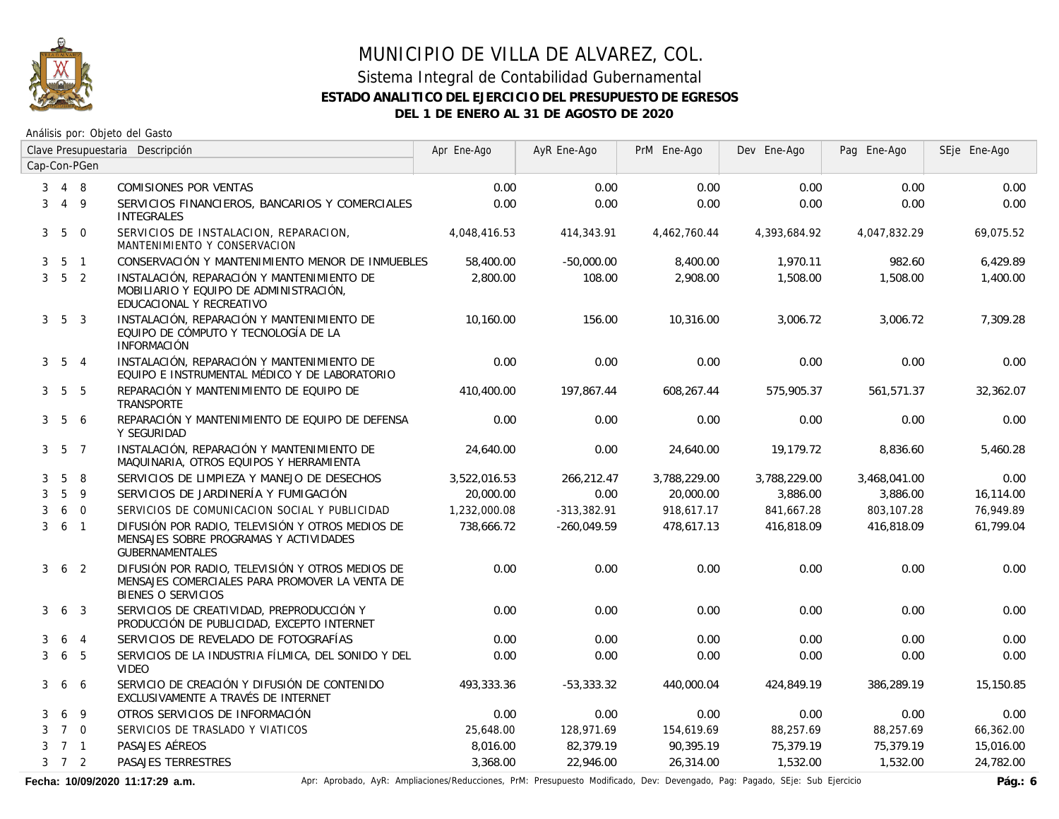

## MUNICIPIO DE VILLA DE ALVAREZ, COL. Sistema Integral de Contabilidad Gubernamental

# **ESTADO ANALITICO DEL EJERCICIO DEL PRESUPUESTO DE EGRESOS DEL 1 DE ENERO AL 31 DE AGOSTO DE 2020**

Análisis por: Objeto del Gasto

|                | Clave Presupuestaria Descripción |                 | Apr Ene-Ago                                                                                                                     | AyR Ene-Ago  | PrM Ene-Ago   | Dev Ene-Ago  | Pag Ene-Ago  | SEje Ene-Ago |           |
|----------------|----------------------------------|-----------------|---------------------------------------------------------------------------------------------------------------------------------|--------------|---------------|--------------|--------------|--------------|-----------|
|                |                                  | Cap-Con-PGen    |                                                                                                                                 |              |               |              |              |              |           |
| 3              |                                  | 4 8             | COMISIONES POR VENTAS                                                                                                           | 0.00         | 0.00          | 0.00         | 0.00         | 0.00         | 0.00      |
| 3              |                                  | $4\overline{9}$ | SERVICIOS FINANCIEROS, BANCARIOS Y COMERCIALES<br><b>INTEGRALES</b>                                                             | 0.00         | 0.00          | 0.00         | 0.00         | 0.00         | 0.00      |
| 3 <sup>1</sup> | 5                                | $\overline{0}$  | SERVICIOS DE INSTALACION, REPARACION,<br>MANTENIMIENTO Y CONSERVACION                                                           | 4,048,416.53 | 414,343.91    | 4,462,760.44 | 4,393,684.92 | 4,047,832.29 | 69,075.52 |
| 3              |                                  | 5 <sub>1</sub>  | CONSERVACIÓN Y MANTENIMIENTO MENOR DE INMUEBLES                                                                                 | 58,400.00    | $-50,000.00$  | 8,400.00     | 1,970.11     | 982.60       | 6,429.89  |
| 3              | 5 <sub>2</sub>                   |                 | INSTALACIÓN, REPARACIÓN Y MANTENIMIENTO DE<br>MOBILIARIO Y EQUIPO DE ADMINISTRACIÓN,<br>EDUCACIONAL Y RECREATIVO                | 2,800.00     | 108.00        | 2,908.00     | 1,508.00     | 1,508.00     | 1,400.00  |
|                | $3\quad 5\quad 3$                |                 | INSTALACIÓN, REPARACIÓN Y MANTENIMIENTO DE<br>EQUIPO DE CÓMPUTO Y TECNOLOGÍA DE LA<br><b>INFORMACIÓN</b>                        | 10,160.00    | 156.00        | 10,316.00    | 3,006.72     | 3,006.72     | 7,309.28  |
|                | $3\quad 5\quad 4$                |                 | INSTALACIÓN, REPARACIÓN Y MANTENIMIENTO DE<br>EQUIPO E INSTRUMENTAL MÉDICO Y DE LABORATORIO                                     | 0.00         | 0.00          | 0.00         | 0.00         | 0.00         | 0.00      |
| 3              |                                  | 5 5             | REPARACIÓN Y MANTENIMIENTO DE EQUIPO DE<br><b>TRANSPORTE</b>                                                                    | 410,400.00   | 197,867.44    | 608,267.44   | 575,905.37   | 561,571.37   | 32,362.07 |
| 3              |                                  | 5 6             | REPARACIÓN Y MANTENIMIENTO DE EQUIPO DE DEFENSA<br>Y SEGURIDAD                                                                  | 0.00         | 0.00          | 0.00         | 0.00         | 0.00         | 0.00      |
|                | $3\quad 5\quad 7$                |                 | INSTALACIÓN, REPARACIÓN Y MANTENIMIENTO DE<br>MAQUINARIA, OTROS EQUIPOS Y HERRAMIENTA                                           | 24.640.00    | 0.00          | 24,640.00    | 19,179.72    | 8.836.60     | 5,460.28  |
| 3              | 5                                | 8               | SERVICIOS DE LIMPIEZA Y MANEJO DE DESECHOS                                                                                      | 3,522,016.53 | 266,212.47    | 3,788,229.00 | 3,788,229.00 | 3,468,041.00 | 0.00      |
| 3              | 5                                | 9               | SERVICIOS DE JARDINERÍA Y FUMIGACIÓN                                                                                            | 20,000.00    | 0.00          | 20,000.00    | 3.886.00     | 3,886.00     | 16,114.00 |
| 3              |                                  | 6 0             | SERVICIOS DE COMUNICACION SOCIAL Y PUBLICIDAD                                                                                   | 1,232,000.08 | $-313,382.91$ | 918,617.17   | 841,667.28   | 803,107.28   | 76,949.89 |
| 3              | 6 1                              |                 | DIFUSIÓN POR RADIO, TELEVISIÓN Y OTROS MEDIOS DE<br>MENSAJES SOBRE PROGRAMAS Y ACTIVIDADES<br><b>GUBERNAMENTALES</b>            | 738,666.72   | $-260,049.59$ | 478,617.13   | 416,818.09   | 416,818.09   | 61,799.04 |
| 3              |                                  | 6 <sub>2</sub>  | DIFUSIÓN POR RADIO, TELEVISIÓN Y OTROS MEDIOS DE<br>MENSAJES COMERCIALES PARA PROMOVER LA VENTA DE<br><b>BIENES O SERVICIOS</b> | 0.00         | 0.00          | 0.00         | 0.00         | 0.00         | 0.00      |
| 3              | 6                                | $\overline{3}$  | SERVICIOS DE CREATIVIDAD, PREPRODUCCIÓN Y<br>PRODUCCIÓN DE PUBLICIDAD, EXCEPTO INTERNET                                         | 0.00         | 0.00          | 0.00         | 0.00         | 0.00         | 0.00      |
| 3              | 6                                | $\overline{4}$  | SERVICIOS DE REVELADO DE FOTOGRAFÍAS                                                                                            | 0.00         | 0.00          | 0.00         | 0.00         | 0.00         | 0.00      |
| 3              | 6                                | 5               | SERVICIOS DE LA INDUSTRIA FÍLMICA, DEL SONIDO Y DEL<br><b>VIDEO</b>                                                             | 0.00         | 0.00          | 0.00         | 0.00         | 0.00         | 0.00      |
| 3              | 6                                | 6               | SERVICIO DE CREACIÓN Y DIFUSIÓN DE CONTENIDO<br>EXCLUSIVAMENTE A TRAVÉS DE INTERNET                                             | 493.333.36   | $-53.333.32$  | 440,000.04   | 424.849.19   | 386.289.19   | 15,150.85 |
| 3              | 6                                | 9               | OTROS SERVICIOS DE INFORMACIÓN                                                                                                  | 0.00         | 0.00          | 0.00         | 0.00         | 0.00         | 0.00      |
| 3              |                                  | $7\quad$ 0      | SERVICIOS DE TRASLADO Y VIATICOS                                                                                                | 25,648.00    | 128,971.69    | 154,619.69   | 88,257.69    | 88,257.69    | 66,362.00 |
| 3              | 7 <sub>1</sub>                   |                 | PASAJES AÉREOS                                                                                                                  | 8,016.00     | 82,379.19     | 90,395.19    | 75,379.19    | 75,379.19    | 15,016.00 |
|                | $3 \quad 7 \quad 2$              |                 | PASAJES TERRESTRES                                                                                                              | 3,368.00     | 22,946.00     | 26,314.00    | 1,532.00     | 1,532.00     | 24,782.00 |

Fecha: 10/09/2020 11:17:29 a.m. **Aprical Access Access Ampliaciones/Reducciones**, PrM: Presupuesto Modificado, Dev: Devengado, Pag: Pagado, SEje: Sub Ejercicio **Pág.: 6**<br>Pág.: 6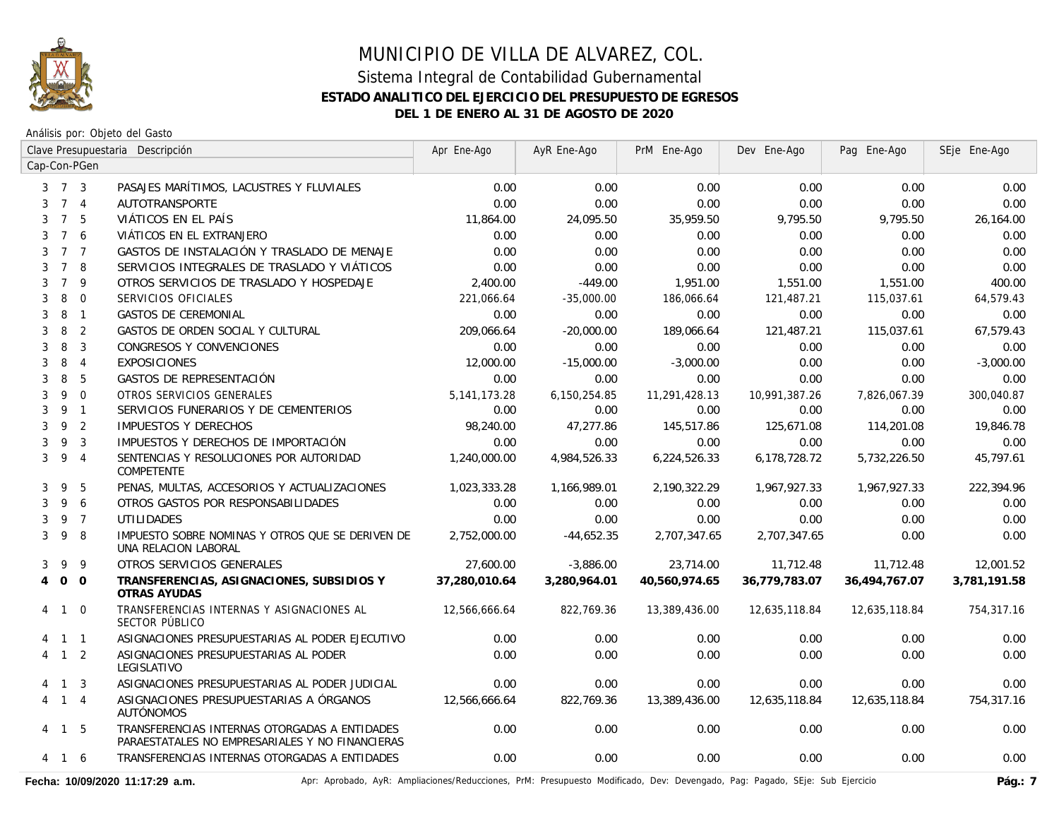

Análisis por: Objeto del Gasto

|                |                     |                | Clave Presupuestaria Descripción                                                                 | Apr Ene-Ago     | AyR Ene-Ago  | PrM Ene-Ago   | Dev Ene-Ago   | Pag Ene-Ago   | SEje Ene-Ago |
|----------------|---------------------|----------------|--------------------------------------------------------------------------------------------------|-----------------|--------------|---------------|---------------|---------------|--------------|
|                |                     | Cap-Con-PGen   |                                                                                                  |                 |              |               |               |               |              |
|                | $3 \quad 7 \quad 3$ |                | PASAJES MARÍTIMOS, LACUSTRES Y FLUVIALES                                                         | 0.00            | 0.00         | 0.00          | 0.00          | 0.00          | 0.00         |
| 3              |                     | 7 <sub>4</sub> | <b>AUTOTRANSPORTE</b>                                                                            | 0.00            | 0.00         | 0.00          | 0.00          | 0.00          | 0.00         |
| 3              | $\overline{7}$      | 5              | VIÁTICOS EN EL PAÍS                                                                              | 11,864.00       | 24,095.50    | 35,959.50     | 9,795.50      | 9,795.50      | 26,164.00    |
| 3              | $7^{\circ}$         | 6              | VIÁTICOS EN EL EXTRANJERO                                                                        | 0.00            | 0.00         | 0.00          | 0.00          | 0.00          | 0.00         |
| 3              |                     | 7 <sub>7</sub> | GASTOS DE INSTALACIÓN Y TRASLADO DE MENAJE                                                       | 0.00            | 0.00         | 0.00          | 0.00          | 0.00          | 0.00         |
| 3              | $7^{\circ}$         | 8              | SERVICIOS INTEGRALES DE TRASLADO Y VIÁTICOS                                                      | 0.00            | 0.00         | 0.00          | 0.00          | 0.00          | 0.00         |
| 3              | $\overline{7}$      | 9              | OTROS SERVICIOS DE TRASLADO Y HOSPEDAJE                                                          | 2,400.00        | $-449.00$    | 1,951.00      | 1,551.00      | 1,551.00      | 400.00       |
| 3              | 8                   | $\mathbf 0$    | SERVICIOS OFICIALES                                                                              | 221,066.64      | $-35,000.00$ | 186,066.64    | 121,487.21    | 115,037.61    | 64,579.43    |
| 3              | 8                   | $\overline{1}$ | <b>GASTOS DE CEREMONIAL</b>                                                                      | 0.00            | 0.00         | 0.00          | 0.00          | 0.00          | 0.00         |
| 3              | 8                   | $\overline{2}$ | GASTOS DE ORDEN SOCIAL Y CULTURAL                                                                | 209,066.64      | $-20,000.00$ | 189,066.64    | 121,487.21    | 115,037.61    | 67.579.43    |
| 3              | 8                   | $\overline{3}$ | CONGRESOS Y CONVENCIONES                                                                         | 0.00            | 0.00         | 0.00          | 0.00          | 0.00          | 0.00         |
| 3              | 8                   | $\overline{4}$ | <b>EXPOSICIONES</b>                                                                              | 12,000.00       | $-15,000.00$ | $-3,000.00$   | 0.00          | 0.00          | $-3,000.00$  |
| 3              | 8                   | 5              | GASTOS DE REPRESENTACIÓN                                                                         | 0.00            | 0.00         | 0.00          | 0.00          | 0.00          | 0.00         |
| 3              | 9                   | $\overline{0}$ | OTROS SERVICIOS GENERALES                                                                        | 5, 141, 173. 28 | 6,150,254.85 | 11,291,428.13 | 10,991,387.26 | 7,826,067.39  | 300,040.87   |
| 3              |                     | 9 1            | SERVICIOS FUNERARIOS Y DE CEMENTERIOS                                                            | 0.00            | 0.00         | 0.00          | 0.00          | 0.00          | 0.00         |
| 3              | 9                   | $\overline{2}$ | <b>IMPUESTOS Y DERECHOS</b>                                                                      | 98,240.00       | 47.277.86    | 145,517.86    | 125,671.08    | 114,201.08    | 19,846.78    |
| 3              | 9                   | $\overline{3}$ | IMPUESTOS Y DERECHOS DE IMPORTACIÓN                                                              | 0.00            | 0.00         | 0.00          | 0.00          | 0.00          | 0.00         |
| 3              | 9                   | $\overline{4}$ | SENTENCIAS Y RESOLUCIONES POR AUTORIDAD<br><b>COMPETENTE</b>                                     | 1,240,000.00    | 4,984,526.33 | 6,224,526.33  | 6,178,728.72  | 5,732,226.50  | 45,797.61    |
| 3              | 9                   | 5              | PENAS, MULTAS, ACCESORIOS Y ACTUALIZACIONES                                                      | 1,023,333.28    | 1,166,989.01 | 2,190,322.29  | 1,967,927.33  | 1,967,927.33  | 222,394.96   |
| 3              | 9                   | 6              | OTROS GASTOS POR RESPONSABILIDADES                                                               | 0.00            | 0.00         | 0.00          | 0.00          | 0.00          | 0.00         |
| 3              |                     | 9 7            | <b>UTILIDADES</b>                                                                                | 0.00            | 0.00         | 0.00          | 0.00          | 0.00          | 0.00         |
| 3              | 9                   | - 8            | IMPUESTO SOBRE NOMINAS Y OTROS QUE SE DERIVEN DE<br>UNA RELACION LABORAL                         | 2,752,000.00    | $-44,652.35$ | 2,707,347.65  | 2,707,347.65  | 0.00          | 0.00         |
| 3              | 9                   | 9              | OTROS SERVICIOS GENERALES                                                                        | 27,600.00       | $-3,886.00$  | 23,714.00     | 11,712.48     | 11,712.48     | 12,001.52    |
| $\overline{4}$ | $0\quad 0$          |                | TRANSFERENCIAS, ASIGNACIONES, SUBSIDIOS Y<br>OTRAS AYUDAS                                        | 37,280,010.64   | 3,280,964.01 | 40,560,974.65 | 36,779,783.07 | 36,494,767.07 | 3,781,191.58 |
| 4              | $\mathbf{1}$        | $\overline{0}$ | TRANSFERENCIAS INTERNAS Y ASIGNACIONES AL<br>SECTOR PÚBLICO                                      | 12,566,666.64   | 822,769.36   | 13,389,436.00 | 12,635,118.84 | 12,635,118.84 | 754,317.16   |
|                | 1 1                 |                | ASIGNACIONES PRESUPUESTARIAS AL PODER EJECUTIVO                                                  | 0.00            | 0.00         | 0.00          | 0.00          | 0.00          | 0.00         |
|                | $1\quad 2$          |                | ASIGNACIONES PRESUPUESTARIAS AL PODER<br>LEGISLATIVO                                             | 0.00            | 0.00         | 0.00          | 0.00          | 0.00          | 0.00         |
|                | 4 1 3               |                | ASIGNACIONES PRESUPUESTARIAS AL PODER JUDICIAL                                                   | 0.00            | 0.00         | 0.00          | 0.00          | 0.00          | 0.00         |
|                | 4 1 4               |                | ASIGNACIONES PRESUPUESTARIAS A ÓRGANOS<br>AUTÓNOMOS                                              | 12,566,666.64   | 822,769.36   | 13,389,436.00 | 12,635,118.84 | 12,635,118.84 | 754,317.16   |
|                | 4 1 5               |                | TRANSFERENCIAS INTERNAS OTORGADAS A ENTIDADES<br>PARAESTATALES NO EMPRESARIALES Y NO FINANCIERAS | 0.00            | 0.00         | 0.00          | 0.00          | 0.00          | 0.00         |
|                | 4 1 6               |                | TRANSFERENCIAS INTERNAS OTORGADAS A ENTIDADES                                                    | 0.00            | 0.00         | 0.00          | 0.00          | 0.00          | 0.00         |

Fecha: 10/09/2020 11:17:29 a.m. **Aprichationes/Actiones/Reducciones, PrM: Presupuesto Modificado, Dev: Devengado, Pag: Pagado, SEje: Sub Ejercicio Pág.: 7**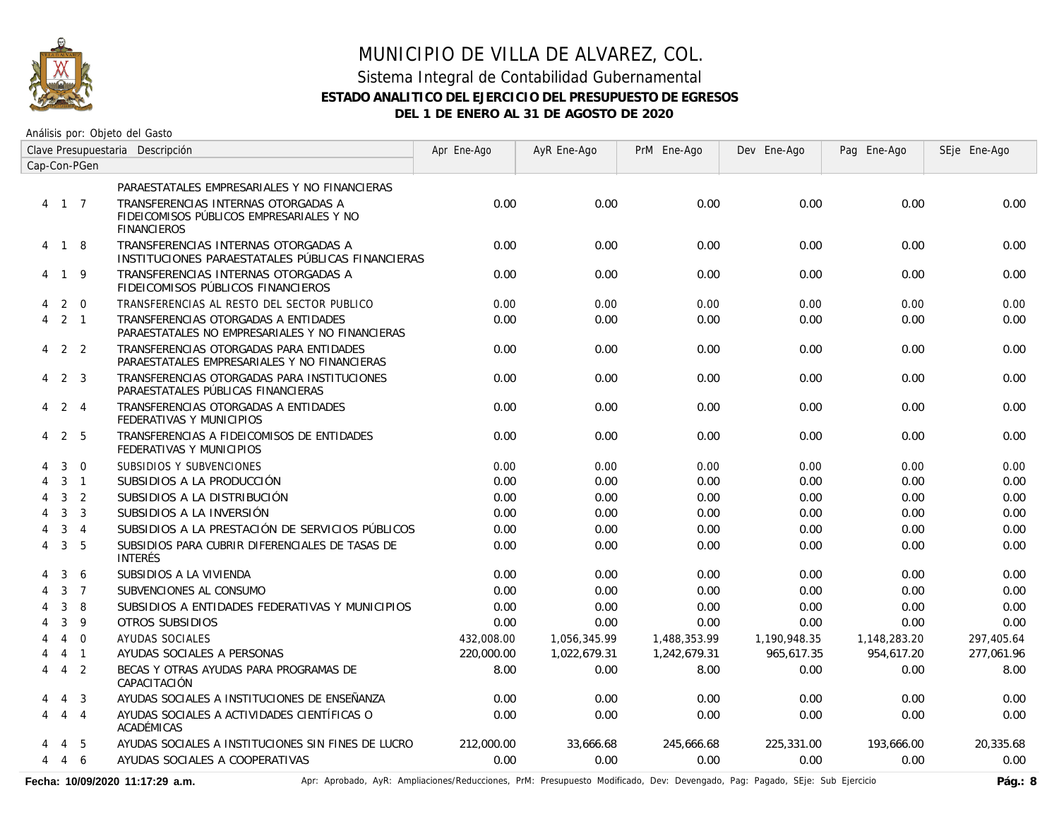

Análisis por: Objeto del Gasto

|                | Clave Presupuestaria Descripción |                 |                                                                                                       | Apr Ene-Ago | AyR Ene-Ago  | PrM Ene-Ago  | Dev Ene-Ago  | Pag Ene-Ago  | SEje Ene-Ago |
|----------------|----------------------------------|-----------------|-------------------------------------------------------------------------------------------------------|-------------|--------------|--------------|--------------|--------------|--------------|
|                |                                  | Cap-Con-PGen    |                                                                                                       |             |              |              |              |              |              |
|                |                                  |                 | PARAESTATALES EMPRESARIALES Y NO FINANCIERAS                                                          |             |              |              |              |              |              |
|                | 4 1 7                            |                 | TRANSFERENCIAS INTERNAS OTORGADAS A<br>FIDEICOMISOS PÚBLICOS EMPRESARIALES Y NO<br><b>FINANCIEROS</b> | 0.00        | 0.00         | 0.00         | 0.00         | 0.00         | 0.00         |
|                | 4 1 8                            |                 | TRANSFERENCIAS INTERNAS OTORGADAS A<br>INSTITUCIONES PARAESTATALES PÚBLICAS FINANCIERAS               | 0.00        | 0.00         | 0.00         | 0.00         | 0.00         | 0.00         |
| 4              | 1 9                              |                 | TRANSFERENCIAS INTERNAS OTORGADAS A<br>FIDEICOMISOS PÚBLICOS FINANCIEROS                              | 0.00        | 0.00         | 0.00         | 0.00         | 0.00         | 0.00         |
| 4              | 2                                | $\overline{0}$  | TRANSFERENCIAS AL RESTO DEL SECTOR PUBLICO                                                            | 0.00        | 0.00         | 0.00         | 0.00         | 0.00         | 0.00         |
| 4              |                                  | $2 \quad 1$     | TRANSFERENCIAS OTORGADAS A ENTIDADES<br>PARAESTATALES NO EMPRESARIALES Y NO FINANCIERAS               | 0.00        | 0.00         | 0.00         | 0.00         | 0.00         | 0.00         |
| 4              | 2 2                              |                 | TRANSFERENCIAS OTORGADAS PARA ENTIDADES<br>PARAESTATALES EMPRESARIALES Y NO FINANCIERAS               | 0.00        | 0.00         | 0.00         | 0.00         | 0.00         | 0.00         |
| 4              | 2                                | 3               | TRANSFERENCIAS OTORGADAS PARA INSTITUCIONES<br>PARAESTATALES PÚBLICAS FINANCIERAS                     | 0.00        | 0.00         | 0.00         | 0.00         | 0.00         | 0.00         |
| 4              |                                  | 2 4             | TRANSFERENCIAS OTORGADAS A ENTIDADES<br>FEDERATIVAS Y MUNICIPIOS                                      | 0.00        | 0.00         | 0.00         | 0.00         | 0.00         | 0.00         |
| 4              |                                  | 2 5             | TRANSFERENCIAS A FIDEICOMISOS DE ENTIDADES<br>FEDERATIVAS Y MUNICIPIOS                                | 0.00        | 0.00         | 0.00         | 0.00         | 0.00         | 0.00         |
|                | 3                                | $\overline{0}$  | SUBSIDIOS Y SUBVENCIONES                                                                              | 0.00        | 0.00         | 0.00         | 0.00         | 0.00         | 0.00         |
|                | 3                                | $\overline{1}$  | SUBSIDIOS A LA PRODUCCIÓN                                                                             | 0.00        | 0.00         | 0.00         | 0.00         | 0.00         | 0.00         |
|                | 3                                | $\overline{2}$  | SUBSIDIOS A LA DISTRIBUCIÓN                                                                           | 0.00        | 0.00         | 0.00         | 0.00         | 0.00         | 0.00         |
|                | $\mathbf{3}$                     | $\overline{3}$  | SUBSIDIOS A LA INVERSIÓN                                                                              | 0.00        | 0.00         | 0.00         | 0.00         | 0.00         | 0.00         |
| 4              | 3                                | $\overline{4}$  | SUBSIDIOS A LA PRESTACIÓN DE SERVICIOS PÚBLICOS                                                       | 0.00        | 0.00         | 0.00         | 0.00         | 0.00         | 0.00         |
| 4              | $\mathbf{3}$                     | 5               | SUBSIDIOS PARA CUBRIR DIFERENCIALES DE TASAS DE<br><b>INTERÉS</b>                                     | 0.00        | 0.00         | 0.00         | 0.00         | 0.00         | 0.00         |
|                | 3                                | 6               | SUBSIDIOS A LA VIVIENDA                                                                               | 0.00        | 0.00         | 0.00         | 0.00         | 0.00         | 0.00         |
|                | 3                                | $\overline{7}$  | SUBVENCIONES AL CONSUMO                                                                               | 0.00        | 0.00         | 0.00         | 0.00         | 0.00         | 0.00         |
|                | $\mathbf{3}$                     | 8               | SUBSIDIOS A ENTIDADES FEDERATIVAS Y MUNICIPIOS                                                        | 0.00        | 0.00         | 0.00         | 0.00         | 0.00         | 0.00         |
|                | 3                                | 9               | OTROS SUBSIDIOS                                                                                       | 0.00        | 0.00         | 0.00         | 0.00         | 0.00         | 0.00         |
|                | $\overline{4}$                   | $\Omega$        | <b>AYUDAS SOCIALES</b>                                                                                | 432,008.00  | 1,056,345.99 | 1,488,353.99 | 1,190,948.35 | 1,148,283.20 | 297,405.64   |
|                | $\overline{4}$                   | $\overline{1}$  | AYUDAS SOCIALES A PERSONAS                                                                            | 220,000.00  | 1,022,679.31 | 1,242,679.31 | 965,617.35   | 954,617.20   | 277,061.96   |
| 4              | $\overline{4}$                   | 2               | BECAS Y OTRAS AYUDAS PARA PROGRAMAS DE<br>CAPACITACIÓN                                                | 8.00        | 0.00         | 8.00         | 0.00         | 0.00         | 8.00         |
|                | $\overline{4}$                   | $\overline{3}$  | AYUDAS SOCIALES A INSTITUCIONES DE ENSEÑANZA                                                          | 0.00        | 0.00         | 0.00         | 0.00         | 0.00         | 0.00         |
| 4              | $\overline{4}$                   | $\overline{4}$  | AYUDAS SOCIALES A ACTIVIDADES CIENTÍFICAS O<br>ACADÉMICAS                                             | 0.00        | 0.00         | 0.00         | 0.00         | 0.00         | 0.00         |
|                | 4                                | -5              | AYUDAS SOCIALES A INSTITUCIONES SIN FINES DE LUCRO                                                    | 212,000.00  | 33,666.68    | 245,666.68   | 225,331.00   | 193,666.00   | 20.335.68    |
| $\overline{4}$ |                                  | $4\overline{6}$ | AYUDAS SOCIALES A COOPERATIVAS                                                                        | 0.00        | 0.00         | 0.00         | 0.00         | 0.00         | 0.00         |

Fecha: 10/09/2020 11:17:29 a.m. **Aprichationes/Actiones/Reducciones, PrM: Presupuesto Modificado, Dev: Devengado, Pag: Pagado, SEje: Sub Ejercicio Pág.: 8**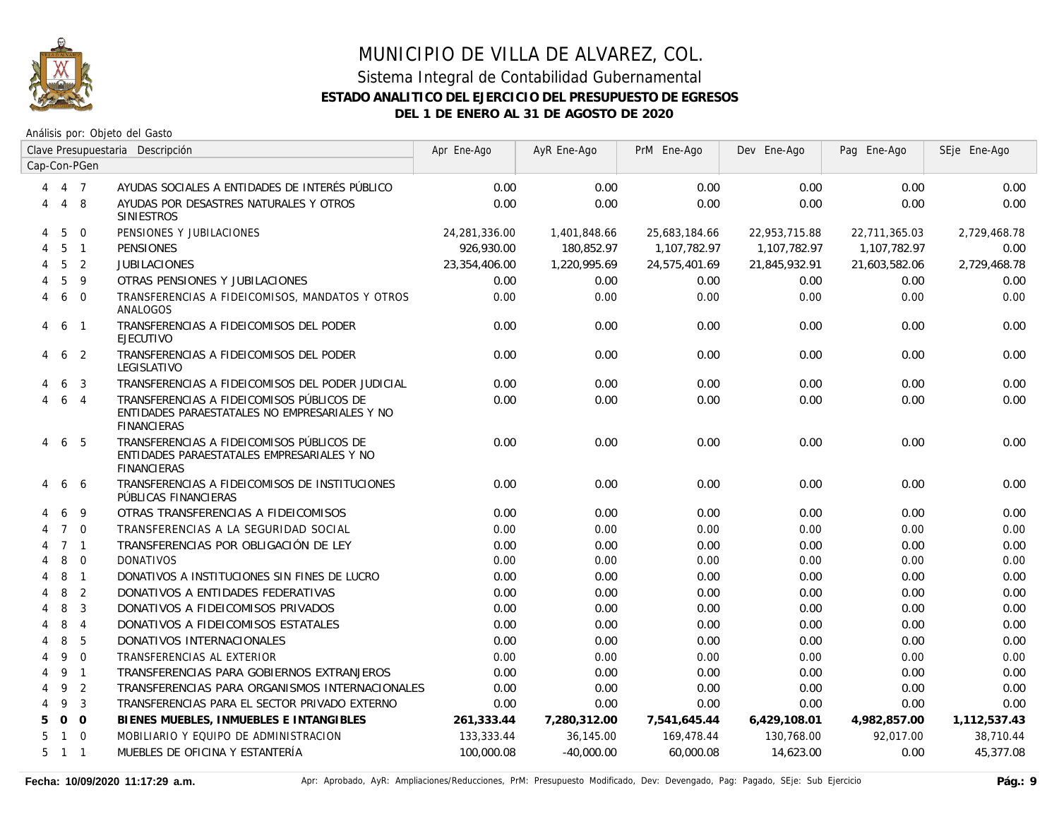

|   | Clave Presupuestaria Descripción |                | Apr Ene-Ago                                                                                                      | AyR Ene-Ago   | PrM Ene-Ago  | Dev Ene-Ago   | Pag Ene-Ago   | SEje Ene-Ago  |              |
|---|----------------------------------|----------------|------------------------------------------------------------------------------------------------------------------|---------------|--------------|---------------|---------------|---------------|--------------|
|   |                                  | Cap-Con-PGen   |                                                                                                                  |               |              |               |               |               |              |
|   | 4 7                              |                | AYUDAS SOCIALES A ENTIDADES DE INTERÉS PÚBLICO                                                                   | 0.00          | 0.00         | 0.00          | 0.00          | 0.00          | 0.00         |
| 4 | $\overline{4}$                   | 8              | AYUDAS POR DESASTRES NATURALES Y OTROS<br><b>SINIESTROS</b>                                                      | 0.00          | 0.00         | 0.00          | 0.00          | 0.00          | 0.00         |
| 4 | 5                                | $\Omega$       | PENSIONES Y JUBILACIONES                                                                                         | 24,281,336.00 | 1,401,848.66 | 25,683,184.66 | 22,953,715.88 | 22,711,365.03 | 2,729,468.78 |
| 4 | 5                                | $\overline{1}$ | <b>PENSIONES</b>                                                                                                 | 926.930.00    | 180.852.97   | 1,107,782.97  | 1.107.782.97  | 1.107.782.97  | 0.00         |
| 4 | 5                                | 2              | <b>JUBILACIONES</b>                                                                                              | 23,354,406.00 | 1,220,995.69 | 24,575,401.69 | 21,845,932.91 | 21,603,582.06 | 2,729,468.78 |
|   | 5                                | 9              | OTRAS PENSIONES Y JUBILACIONES                                                                                   | 0.00          | 0.00         | 0.00          | 0.00          | 0.00          | 0.00         |
| 4 | 6                                | $\Omega$       | TRANSFERENCIAS A FIDEICOMISOS, MANDATOS Y OTROS<br>ANALOGOS                                                      | 0.00          | 0.00         | 0.00          | 0.00          | 0.00          | 0.00         |
| 4 | 6                                | $\overline{1}$ | TRANSFERENCIAS A FIDEICOMISOS DEL PODER<br><b>EJECUTIVO</b>                                                      | 0.00          | 0.00         | 0.00          | 0.00          | 0.00          | 0.00         |
| 4 | 6                                | $\overline{2}$ | TRANSFERENCIAS A FIDEICOMISOS DEL PODER<br>LEGISLATIVO                                                           | 0.00          | 0.00         | 0.00          | 0.00          | 0.00          | 0.00         |
|   | 6                                | $\mathbf{3}$   | TRANSFERENCIAS A FIDEICOMISOS DEL PODER JUDICIAL                                                                 | 0.00          | 0.00         | 0.00          | 0.00          | 0.00          | 0.00         |
|   | 6                                | $\overline{4}$ | TRANSFERENCIAS A FIDEICOMISOS PÚBLICOS DE<br>ENTIDADES PARAESTATALES NO EMPRESARIALES Y NO<br><b>FINANCIERAS</b> | 0.00          | 0.00         | 0.00          | 0.00          | 0.00          | 0.00         |
| 4 | 6                                | 5              | TRANSFERENCIAS A FIDEICOMISOS PÚBLICOS DE<br>ENTIDADES PARAESTATALES EMPRESARIALES Y NO<br><b>FINANCIERAS</b>    | 0.00          | 0.00         | 0.00          | 0.00          | 0.00          | 0.00         |
| 4 | 6                                | -6             | TRANSFERENCIAS A FIDEICOMISOS DE INSTITUCIONES<br>PÚBLICAS FINANCIERAS                                           | 0.00          | 0.00         | 0.00          | 0.00          | 0.00          | 0.00         |
| 4 | 6                                | 9              | OTRAS TRANSFERENCIAS A FIDEICOMISOS                                                                              | 0.00          | 0.00         | 0.00          | 0.00          | 0.00          | 0.00         |
|   | $\overline{7}$                   | $\overline{0}$ | TRANSFERENCIAS A LA SEGURIDAD SOCIAL                                                                             | 0.00          | 0.00         | 0.00          | 0.00          | 0.00          | 0.00         |
|   |                                  | 7 <sub>1</sub> | TRANSFERENCIAS POR OBLIGACIÓN DE LEY                                                                             | 0.00          | 0.00         | 0.00          | 0.00          | 0.00          | 0.00         |
|   | 8                                | $\overline{0}$ | <b>DONATIVOS</b>                                                                                                 | 0.00          | 0.00         | 0.00          | 0.00          | 0.00          | 0.00         |
|   | 8                                | $\overline{1}$ | DONATIVOS A INSTITUCIONES SIN FINES DE LUCRO                                                                     | 0.00          | 0.00         | 0.00          | 0.00          | 0.00          | 0.00         |
| 4 | 8                                | $\overline{2}$ | DONATIVOS A ENTIDADES FEDERATIVAS                                                                                | 0.00          | 0.00         | 0.00          | 0.00          | 0.00          | 0.00         |
| 4 | 8                                | $\mathbf{3}$   | DONATIVOS A FIDEICOMISOS PRIVADOS                                                                                | 0.00          | 0.00         | 0.00          | 0.00          | 0.00          | 0.00         |
| 4 | 8                                | $\overline{4}$ | DONATIVOS A FIDEICOMISOS ESTATALES                                                                               | 0.00          | 0.00         | 0.00          | 0.00          | 0.00          | 0.00         |
| 4 | 8                                | 5              | DONATIVOS INTERNACIONALES                                                                                        | 0.00          | 0.00         | 0.00          | 0.00          | 0.00          | 0.00         |
| 4 | 9                                | $\overline{0}$ | TRANSFERENCIAS AL EXTERIOR                                                                                       | 0.00          | 0.00         | 0.00          | 0.00          | 0.00          | 0.00         |
| 4 | 9                                | $\overline{1}$ | TRANSFERENCIAS PARA GOBIERNOS EXTRANJEROS                                                                        | 0.00          | 0.00         | 0.00          | 0.00          | 0.00          | 0.00         |
| 4 | 9                                | 2              | TRANSFERENCIAS PARA ORGANISMOS INTERNACIONALES                                                                   | 0.00          | 0.00         | 0.00          | 0.00          | 0.00          | 0.00         |
| 4 | 9                                | 3              | TRANSFERENCIAS PARA EL SECTOR PRIVADO EXTERNO                                                                    | 0.00          | 0.00         | 0.00          | 0.00          | 0.00          | 0.00         |
| 5 | $\overline{O}$                   | $\overline{0}$ | BIENES MUEBLES, INMUEBLES E INTANGIBLES                                                                          | 261,333.44    | 7,280,312.00 | 7,541,645.44  | 6,429,108.01  | 4,982,857.00  | 1,112,537.43 |
| 5 | $\mathbf{1}$                     | $\Omega$       | MOBILIARIO Y EQUIPO DE ADMINISTRACION                                                                            | 133,333.44    | 36,145.00    | 169,478.44    | 130,768.00    | 92,017.00     | 38,710.44    |
| 5 | $1\quad1$                        |                | MUEBLES DE OFICINA Y ESTANTERÍA                                                                                  | 100,000.08    | $-40,000.00$ | 60,000.08     | 14,623.00     | 0.00          | 45,377.08    |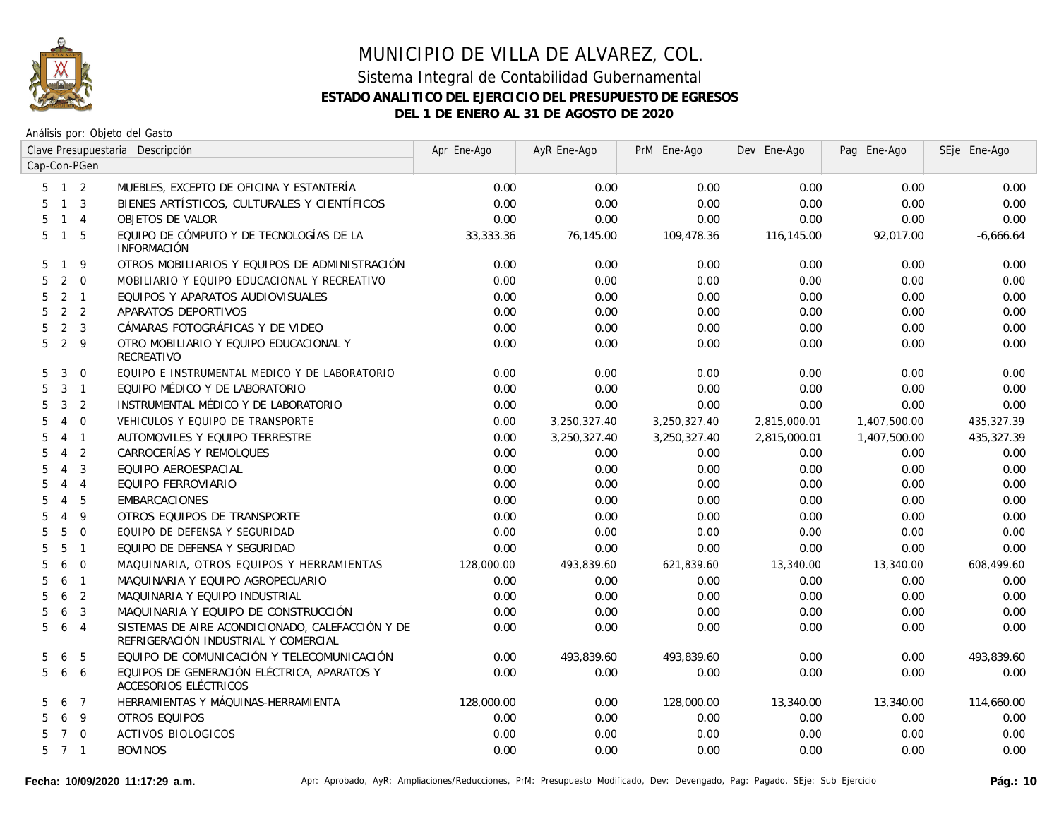

|              |                     |                | Clave Presupuestaria Descripción                                                         | Apr Ene-Ago | AyR Ene-Ago  | PrM Ene-Ago  | Dev Ene-Ago  | Pag Ene-Ago  | SEje Ene-Ago |
|--------------|---------------------|----------------|------------------------------------------------------------------------------------------|-------------|--------------|--------------|--------------|--------------|--------------|
| Cap-Con-PGen |                     |                |                                                                                          |             |              |              |              |              |              |
|              | $5$ 1 2             |                | MUEBLES, EXCEPTO DE OFICINA Y ESTANTERÍA                                                 | 0.00        | 0.00         | 0.00         | 0.00         | 0.00         | 0.00         |
| 5.           | $1 \quad 3$         |                | BIENES ARTÍSTICOS, CULTURALES Y CIENTÍFICOS                                              | 0.00        | 0.00         | 0.00         | 0.00         | 0.00         | 0.00         |
| 5            | $1 \quad 4$         |                | <b>OBJETOS DE VALOR</b>                                                                  | 0.00        | 0.00         | 0.00         | 0.00         | 0.00         | 0.00         |
| 5            | $\overline{1}$      | - 5            | EQUIPO DE CÓMPUTO Y DE TECNOLOGÍAS DE LA<br><b>INFORMACIÓN</b>                           | 33,333.36   | 76,145.00    | 109,478.36   | 116,145.00   | 92,017.00    | $-6,666.64$  |
| 5.           | $\mathbf{1}$        | 9              | OTROS MOBILIARIOS Y EQUIPOS DE ADMINISTRACIÓN                                            | 0.00        | 0.00         | 0.00         | 0.00         | 0.00         | 0.00         |
| 5            | $\overline{2}$      | $\overline{0}$ | MOBILIARIO Y EQUIPO EDUCACIONAL Y RECREATIVO                                             | 0.00        | 0.00         | 0.00         | 0.00         | 0.00         | 0.00         |
| 5            | $2 \quad 1$         |                | EQUIPOS Y APARATOS AUDIOVISUALES                                                         | 0.00        | 0.00         | 0.00         | 0.00         | 0.00         | 0.00         |
| 5            | 2 2                 |                | APARATOS DEPORTIVOS                                                                      | 0.00        | 0.00         | 0.00         | 0.00         | 0.00         | 0.00         |
| 5            | 2 <sup>3</sup>      |                | CÁMARAS FOTOGRÁFICAS Y DE VIDEO                                                          | 0.00        | 0.00         | 0.00         | 0.00         | 0.00         | 0.00         |
| 5            | 2 <sup>9</sup>      |                | OTRO MOBILIARIO Y EQUIPO EDUCACIONAL Y<br>RECREATIVO                                     | 0.00        | 0.00         | 0.00         | 0.00         | 0.00         | 0.00         |
| 5            | 3                   | $\overline{0}$ | EQUIPO E INSTRUMENTAL MEDICO Y DE LABORATORIO                                            | 0.00        | 0.00         | 0.00         | 0.00         | 0.00         | 0.00         |
| 5            | 3 <sub>1</sub>      |                | EQUIPO MÉDICO Y DE LABORATORIO                                                           | 0.00        | 0.00         | 0.00         | 0.00         | 0.00         | 0.00         |
| 5            | 3                   | $\overline{2}$ | INSTRUMENTAL MÉDICO Y DE LABORATORIO                                                     | 0.00        | 0.00         | 0.00         | 0.00         | 0.00         | 0.00         |
| 5            | $\overline{4}$      | $\mathbf{0}$   | VEHICULOS Y EQUIPO DE TRANSPORTE                                                         | 0.00        | 3,250,327.40 | 3,250,327.40 | 2,815,000.01 | 1,407,500.00 | 435,327.39   |
| 5            | 4                   | $\overline{1}$ | AUTOMOVILES Y EQUIPO TERRESTRE                                                           | 0.00        | 3,250,327.40 | 3,250,327.40 | 2,815,000.01 | 1,407,500.00 | 435,327.39   |
| 5            | $\overline{4}$      | 2              | CARROCERÍAS Y REMOLQUES                                                                  | 0.00        | 0.00         | 0.00         | 0.00         | 0.00         | 0.00         |
| 5            | $\overline{4}$      | $\overline{3}$ | EQUIPO AEROESPACIAL                                                                      | 0.00        | 0.00         | 0.00         | 0.00         | 0.00         | 0.00         |
| 5            | $\overline{4}$      | $\overline{4}$ | EQUIPO FERROVIARIO                                                                       | 0.00        | 0.00         | 0.00         | 0.00         | 0.00         | 0.00         |
| 5            | $\overline{4}$      | 5              | <b>EMBARCACIONES</b>                                                                     | 0.00        | 0.00         | 0.00         | 0.00         | 0.00         | 0.00         |
| 5            | $\overline{4}$      | 9              | OTROS EQUIPOS DE TRANSPORTE                                                              | 0.00        | 0.00         | 0.00         | 0.00         | 0.00         | 0.00         |
| 5            | 5                   | $\overline{0}$ | EQUIPO DE DEFENSA Y SEGURIDAD                                                            | 0.00        | 0.00         | 0.00         | 0.00         | 0.00         | 0.00         |
| 5            | 5                   | $\overline{1}$ | EQUIPO DE DEFENSA Y SEGURIDAD                                                            | 0.00        | 0.00         | 0.00         | 0.00         | 0.00         | 0.00         |
| 5            | 6                   | $\overline{0}$ | MAQUINARIA, OTROS EQUIPOS Y HERRAMIENTAS                                                 | 128,000.00  | 493,839.60   | 621,839.60   | 13,340.00    | 13,340.00    | 608,499.60   |
| 5            | 6                   | $\overline{1}$ | MAQUINARIA Y EQUIPO AGROPECUARIO                                                         | 0.00        | 0.00         | 0.00         | 0.00         | 0.00         | 0.00         |
| 5            | 6                   | $\overline{2}$ | MAQUINARIA Y EQUIPO INDUSTRIAL                                                           | 0.00        | 0.00         | 0.00         | 0.00         | 0.00         | 0.00         |
| 5            | 6                   | 3              | MAQUINARIA Y EQUIPO DE CONSTRUCCIÓN                                                      | 0.00        | 0.00         | 0.00         | 0.00         | 0.00         | 0.00         |
| 5            | 6                   | $\overline{4}$ | SISTEMAS DE AIRE ACONDICIONADO, CALEFACCIÓN Y DE<br>REFRIGERACIÓN INDUSTRIAL Y COMERCIAL | 0.00        | 0.00         | 0.00         | 0.00         | 0.00         | 0.00         |
| 5            | 6                   | -5             | EQUIPO DE COMUNICACIÓN Y TELECOMUNICACIÓN                                                | 0.00        | 493,839.60   | 493,839.60   | 0.00         | 0.00         | 493,839.60   |
| 5            | 6                   | 6              | EQUIPOS DE GENERACIÓN ELÉCTRICA, APARATOS Y<br>ACCESORIOS ELÉCTRICOS                     | 0.00        | 0.00         | 0.00         | 0.00         | 0.00         | 0.00         |
| 5            | 6                   | $\overline{7}$ | HERRAMIENTAS Y MÁQUINAS-HERRAMIENTA                                                      | 128,000.00  | 0.00         | 128,000.00   | 13,340.00    | 13,340.00    | 114,660.00   |
| 5.           | 6                   | - 9            | <b>OTROS EQUIPOS</b>                                                                     | 0.00        | 0.00         | 0.00         | 0.00         | 0.00         | 0.00         |
| 5.           | $7^{\circ}$         | $\Omega$       | <b>ACTIVOS BIOLOGICOS</b>                                                                | 0.00        | 0.00         | 0.00         | 0.00         | 0.00         | 0.00         |
|              | $5 \quad 7 \quad 1$ |                | <b>BOVINOS</b>                                                                           | 0.00        | 0.00         | 0.00         | 0.00         | 0.00         | 0.00         |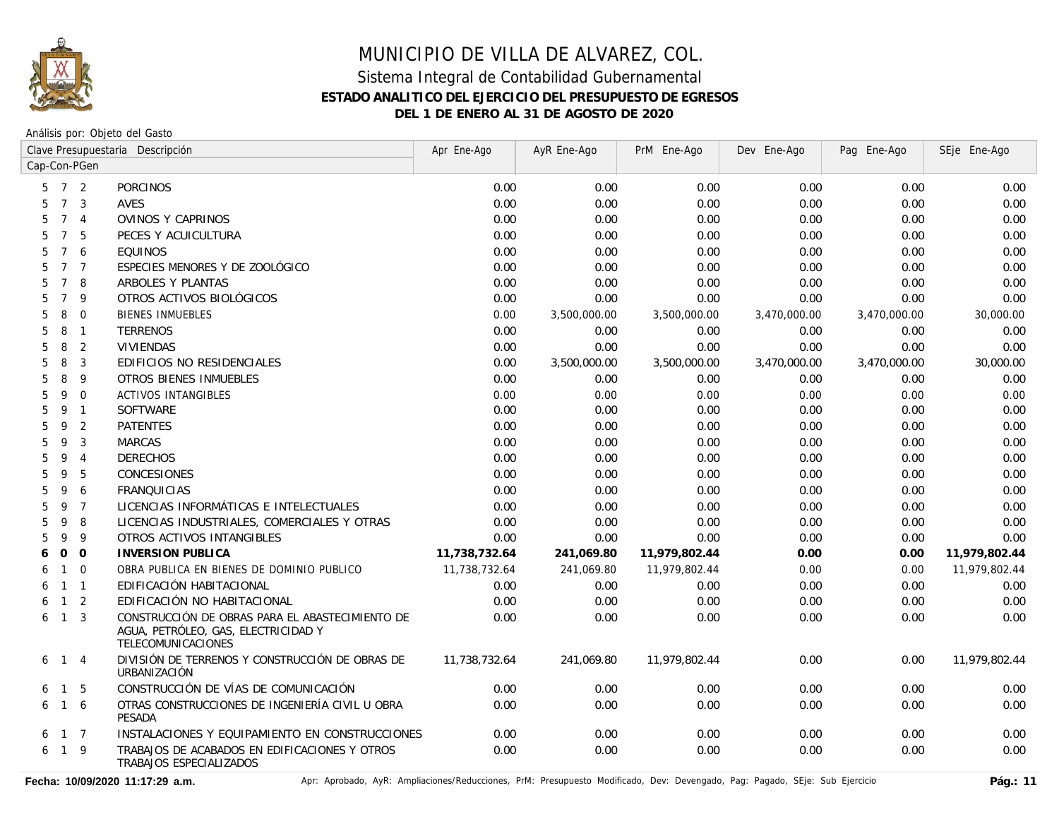

Análisis por: Objeto del Gasto

|                      |                | Clave Presupuestaria Descripción                                                                             | Apr Ene-Ago   | AyR Ene-Ago  | PrM Ene-Ago   | Dev Ene-Ago  | Pag Ene-Ago  | SEje Ene-Ago  |
|----------------------|----------------|--------------------------------------------------------------------------------------------------------------|---------------|--------------|---------------|--------------|--------------|---------------|
| Cap-Con-PGen         |                |                                                                                                              |               |              |               |              |              |               |
| 5                    | 7 <sup>2</sup> | <b>PORCINOS</b>                                                                                              | 0.00          | 0.00         | 0.00          | 0.00         | 0.00         | 0.00          |
| $\overline{7}$<br>5  | 3              | AVES                                                                                                         | 0.00          | 0.00         | 0.00          | 0.00         | 0.00         | 0.00          |
| 5<br>$\overline{7}$  | $\overline{4}$ | OVINOS Y CAPRINOS                                                                                            | 0.00          | 0.00         | 0.00          | 0.00         | 0.00         | 0.00          |
| $\overline{7}$<br>5  | 5              | PECES Y ACUICULTURA                                                                                          | 0.00          | 0.00         | 0.00          | 0.00         | 0.00         | 0.00          |
| 5<br>$\overline{7}$  | 6              | <b>EQUINOS</b>                                                                                               | 0.00          | 0.00         | 0.00          | 0.00         | 0.00         | 0.00          |
| 5<br>$7\overline{ }$ | $\overline{7}$ | ESPECIES MENORES Y DE ZOOLÓGICO                                                                              | 0.00          | 0.00         | 0.00          | 0.00         | 0.00         | 0.00          |
| 5<br>$\overline{7}$  | 8              | ARBOLES Y PLANTAS                                                                                            | 0.00          | 0.00         | 0.00          | 0.00         | 0.00         | 0.00          |
| $\overline{7}$<br>5  | 9              | OTROS ACTIVOS BIOLÓGICOS                                                                                     | 0.00          | 0.00         | 0.00          | 0.00         | 0.00         | 0.00          |
| 5<br>8               | $\mathbf{0}$   | <b>BIENES INMUEBLES</b>                                                                                      | 0.00          | 3,500,000.00 | 3,500,000.00  | 3,470,000.00 | 3,470,000.00 | 30,000.00     |
| 5<br>8               | $\overline{1}$ | <b>TERRENOS</b>                                                                                              | 0.00          | 0.00         | 0.00          | 0.00         | 0.00         | 0.00          |
| 5<br>8               | 2              | <b>VIVIENDAS</b>                                                                                             | 0.00          | 0.00         | 0.00          | 0.00         | 0.00         | 0.00          |
| 8<br>5               | 3              | EDIFICIOS NO RESIDENCIALES                                                                                   | 0.00          | 3,500,000.00 | 3,500,000.00  | 3,470,000.00 | 3,470,000.00 | 30,000.00     |
| 5<br>8               | 9              | <b>OTROS BIENES INMUEBLES</b>                                                                                | 0.00          | 0.00         | 0.00          | 0.00         | 0.00         | 0.00          |
| 5<br>9               | $\Omega$       | <b>ACTIVOS INTANGIBLES</b>                                                                                   | 0.00          | 0.00         | 0.00          | 0.00         | 0.00         | 0.00          |
| 5<br>9               | $\overline{1}$ | SOFTWARE                                                                                                     | 0.00          | 0.00         | 0.00          | 0.00         | 0.00         | 0.00          |
| 5<br>9               | 2              | <b>PATENTES</b>                                                                                              | 0.00          | 0.00         | 0.00          | 0.00         | 0.00         | 0.00          |
| 5<br>9               | 3              | <b>MARCAS</b>                                                                                                | 0.00          | 0.00         | 0.00          | 0.00         | 0.00         | 0.00          |
| 5<br>9               | $\overline{4}$ | <b>DERECHOS</b>                                                                                              | 0.00          | 0.00         | 0.00          | 0.00         | 0.00         | 0.00          |
| 9<br>5               | 5              | CONCESIONES                                                                                                  | 0.00          | 0.00         | 0.00          | 0.00         | 0.00         | 0.00          |
| 5<br>9               | 6              | <b>FRANQUICIAS</b>                                                                                           | 0.00          | 0.00         | 0.00          | 0.00         | 0.00         | 0.00          |
| 5<br>9               | $\overline{7}$ | LICENCIAS INFORMÁTICAS E INTELECTUALES                                                                       | 0.00          | 0.00         | 0.00          | 0.00         | 0.00         | 0.00          |
| 5<br>9               | 8              | LICENCIAS INDUSTRIALES, COMERCIALES Y OTRAS                                                                  | 0.00          | 0.00         | 0.00          | 0.00         | 0.00         | 0.00          |
| 5<br>9               | 9              | OTROS ACTIVOS INTANGIBLES                                                                                    | 0.00          | 0.00         | 0.00          | 0.00         | 0.00         | 0.00          |
| 0<br>6               | $\overline{O}$ | <b>INVERSION PUBLICA</b>                                                                                     | 11,738,732.64 | 241,069.80   | 11,979,802.44 | 0.00         | 0.00         | 11,979,802.44 |
| $\mathbf{1}$<br>6    | $\mathbf 0$    | OBRA PUBLICA EN BIENES DE DOMINIO PUBLICO                                                                    | 11,738,732.64 | 241,069.80   | 11,979,802.44 | 0.00         | 0.00         | 11,979,802.44 |
| $\mathbf{1}$<br>6    | $\overline{1}$ | EDIFICACIÓN HABITACIONAL                                                                                     | 0.00          | 0.00         | 0.00          | 0.00         | 0.00         | 0.00          |
| $\mathbf{1}$<br>6    | 2              | EDIFICACIÓN NO HABITACIONAL                                                                                  | 0.00          | 0.00         | 0.00          | 0.00         | 0.00         | 0.00          |
| $\mathbf{1}$<br>6    | $\overline{3}$ | CONSTRUCCIÓN DE OBRAS PARA EL ABASTECIMIENTO DE<br>AGUA, PETRÓLEO, GAS, ELECTRICIDAD Y<br>TELECOMUNICACIONES | 0.00          | 0.00         | 0.00          | 0.00         | 0.00         | 0.00          |
| 6<br>$\mathbf{1}$    | $\overline{4}$ | DIVISIÓN DE TERRENOS Y CONSTRUCCIÓN DE OBRAS DE<br><b>URBANIZACIÓN</b>                                       | 11,738,732.64 | 241,069.80   | 11,979,802.44 | 0.00         | 0.00         | 11,979,802.44 |
| $\overline{1}$<br>6  | -5             | CONSTRUCCIÓN DE VÍAS DE COMUNICACIÓN                                                                         | 0.00          | 0.00         | 0.00          | 0.00         | 0.00         | 0.00          |
| $\overline{1}$<br>6  | 6              | OTRAS CONSTRUCCIONES DE INGENIERÍA CIVIL U OBRA<br><b>PESADA</b>                                             | 0.00          | 0.00         | 0.00          | 0.00         | 0.00         | 0.00          |
| 6                    | $1 \quad 7$    | INSTALACIONES Y EQUIPAMIENTO EN CONSTRUCCIONES                                                               | 0.00          | 0.00         | 0.00          | 0.00         | 0.00         | 0.00          |
| 6<br>$\overline{1}$  | 9              | TRABAJOS DE ACABADOS EN EDIFICACIONES Y OTROS<br>TRABAJOS ESPECIALIZADOS                                     | 0.00          | 0.00         | 0.00          | 0.00         | 0.00         | 0.00          |

Fecha: 10/09/2020 11:17:29 a.m. <br>Pág.: 11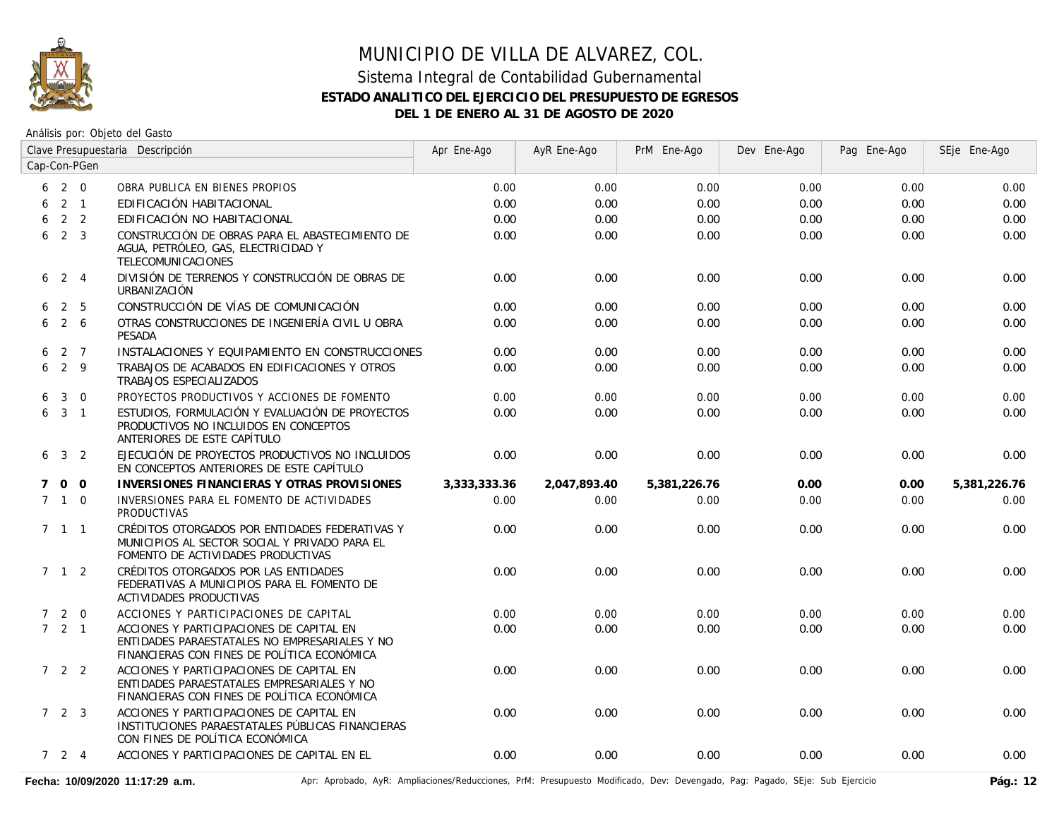

## MUNICIPIO DE VILLA DE ALVAREZ, COL. Sistema Integral de Contabilidad Gubernamental

# **ESTADO ANALITICO DEL EJERCICIO DEL PRESUPUESTO DE EGRESOS DEL 1 DE ENERO AL 31 DE AGOSTO DE 2020**

|             | Clave Presupuestaria Descripción |                 | Apr Ene-Ago                                                                                                                              | AyR Ene-Ago  | PrM Ene-Ago  | Dev Ene-Ago  | Pag Ene-Ago | SEje Ene-Ago |              |
|-------------|----------------------------------|-----------------|------------------------------------------------------------------------------------------------------------------------------------------|--------------|--------------|--------------|-------------|--------------|--------------|
|             |                                  | Cap-Con-PGen    |                                                                                                                                          |              |              |              |             |              |              |
|             | 6 2 0                            |                 | OBRA PUBLICA EN BIENES PROPIOS                                                                                                           | 0.00         | 0.00         | 0.00         | 0.00        | 0.00         | 0.00         |
| 6           |                                  | $2 \quad 1$     | EDIFICACIÓN HABITACIONAL                                                                                                                 | 0.00         | 0.00         | 0.00         | 0.00        | 0.00         | 0.00         |
| 6           |                                  | 2 <sub>2</sub>  | EDIFICACIÓN NO HABITACIONAL                                                                                                              | 0.00         | 0.00         | 0.00         | 0.00        | 0.00         | 0.00         |
| 6           |                                  | 2 <sup>3</sup>  | CONSTRUCCIÓN DE OBRAS PARA EL ABASTECIMIENTO DE<br>AGUA, PETRÓLEO, GAS, ELECTRICIDAD Y<br>TELECOMUNICACIONES                             | 0.00         | 0.00         | 0.00         | 0.00        | 0.00         | 0.00         |
|             | $6 \t2 \t4$                      |                 | DIVISIÓN DE TERRENOS Y CONSTRUCCIÓN DE OBRAS DE<br>URBANIZACIÓN                                                                          | 0.00         | 0.00         | 0.00         | 0.00        | 0.00         | 0.00         |
| 6           |                                  | 2 5             | CONSTRUCCIÓN DE VÍAS DE COMUNICACIÓN                                                                                                     | 0.00         | 0.00         | 0.00         | 0.00        | 0.00         | 0.00         |
| 6           |                                  | $2\overline{6}$ | OTRAS CONSTRUCCIONES DE INGENIERÍA CIVIL U OBRA<br>PESADA                                                                                | 0.00         | 0.00         | 0.00         | 0.00        | 0.00         | 0.00         |
| 6           |                                  | 2 7             | INSTALACIONES Y EQUIPAMIENTO EN CONSTRUCCIONES                                                                                           | 0.00         | 0.00         | 0.00         | 0.00        | 0.00         | 0.00         |
| 6           | 2 9                              |                 | TRABAJOS DE ACABADOS EN EDIFICACIONES Y OTROS<br>TRABAJOS ESPECIALIZADOS                                                                 | 0.00         | 0.00         | 0.00         | 0.00        | 0.00         | 0.00         |
| 6           |                                  | $3 \quad 0$     | PROYECTOS PRODUCTIVOS Y ACCIONES DE FOMENTO                                                                                              | 0.00         | 0.00         | 0.00         | 0.00        | 0.00         | 0.00         |
|             | $6 \t3 \t1$                      |                 | ESTUDIOS, FORMULACIÓN Y EVALUACIÓN DE PROYECTOS<br>PRODUCTIVOS NO INCLUIDOS EN CONCEPTOS<br>ANTERIORES DE ESTE CAPÍTULO                  | 0.00         | 0.00         | 0.00         | 0.00        | 0.00         | 0.00         |
|             | $6 \t3 \t2$                      |                 | EJECUCIÓN DE PROYECTOS PRODUCTIVOS NO INCLUIDOS<br>EN CONCEPTOS ANTERIORES DE ESTE CAPÍTULO                                              | 0.00         | 0.00         | 0.00         | 0.00        | 0.00         | 0.00         |
| $7^{\circ}$ |                                  | $0\quad 0$      | INVERSIONES FINANCIERAS Y OTRAS PROVISIONES                                                                                              | 3,333,333.36 | 2,047,893.40 | 5,381,226.76 | 0.00        | 0.00         | 5,381,226.76 |
|             | $7\quad1\quad0$                  |                 | INVERSIONES PARA EL FOMENTO DE ACTIVIDADES<br><b>PRODUCTIVAS</b>                                                                         | 0.00         | 0.00         | 0.00         | 0.00        | 0.00         | 0.00         |
|             | $7 \quad 1 \quad 1$              |                 | CRÉDITOS OTORGADOS POR ENTIDADES FEDERATIVAS Y<br>MUNICIPIOS AL SECTOR SOCIAL Y PRIVADO PARA EL<br>FOMENTO DE ACTIVIDADES PRODUCTIVAS    | 0.00         | 0.00         | 0.00         | 0.00        | 0.00         | 0.00         |
|             | 7 1 2                            |                 | CRÉDITOS OTORGADOS POR LAS ENTIDADES<br>FEDERATIVAS A MUNICIPIOS PARA EL FOMENTO DE<br>ACTIVIDADES PRODUCTIVAS                           | 0.00         | 0.00         | 0.00         | 0.00        | 0.00         | 0.00         |
|             | $7 2 0$                          |                 | ACCIONES Y PARTICIPACIONES DE CAPITAL                                                                                                    | 0.00         | 0.00         | 0.00         | 0.00        | 0.00         | 0.00         |
|             | $7 \quad 2 \quad 1$              |                 | ACCIONES Y PARTICIPACIONES DE CAPITAL EN<br>ENTIDADES PARAESTATALES NO EMPRESARIALES Y NO<br>FINANCIERAS CON FINES DE POLÍTICA ECONÓMICA | 0.00         | 0.00         | 0.00         | 0.00        | 0.00         | 0.00         |
|             | 7 2 2                            |                 | ACCIONES Y PARTICIPACIONES DE CAPITAL EN<br>ENTIDADES PARAESTATALES EMPRESARIALES Y NO<br>FINANCIERAS CON FINES DE POLÍTICA ECONÓMICA    | 0.00         | 0.00         | 0.00         | 0.00        | 0.00         | 0.00         |
|             | $7\quad 2\quad 3$                |                 | ACCIONES Y PARTICIPACIONES DE CAPITAL EN<br>INSTITUCIONES PARAESTATALES PÚBLICAS FINANCIERAS<br>CON FINES DE POLÍTICA ECONÓMICA          | 0.00         | 0.00         | 0.00         | 0.00        | 0.00         | 0.00         |
|             | $7 \quad 2 \quad 4$              |                 | ACCIONES Y PARTICIPACIONES DE CAPITAL EN EL                                                                                              | 0.00         | 0.00         | 0.00         | 0.00        | 0.00         | 0.00         |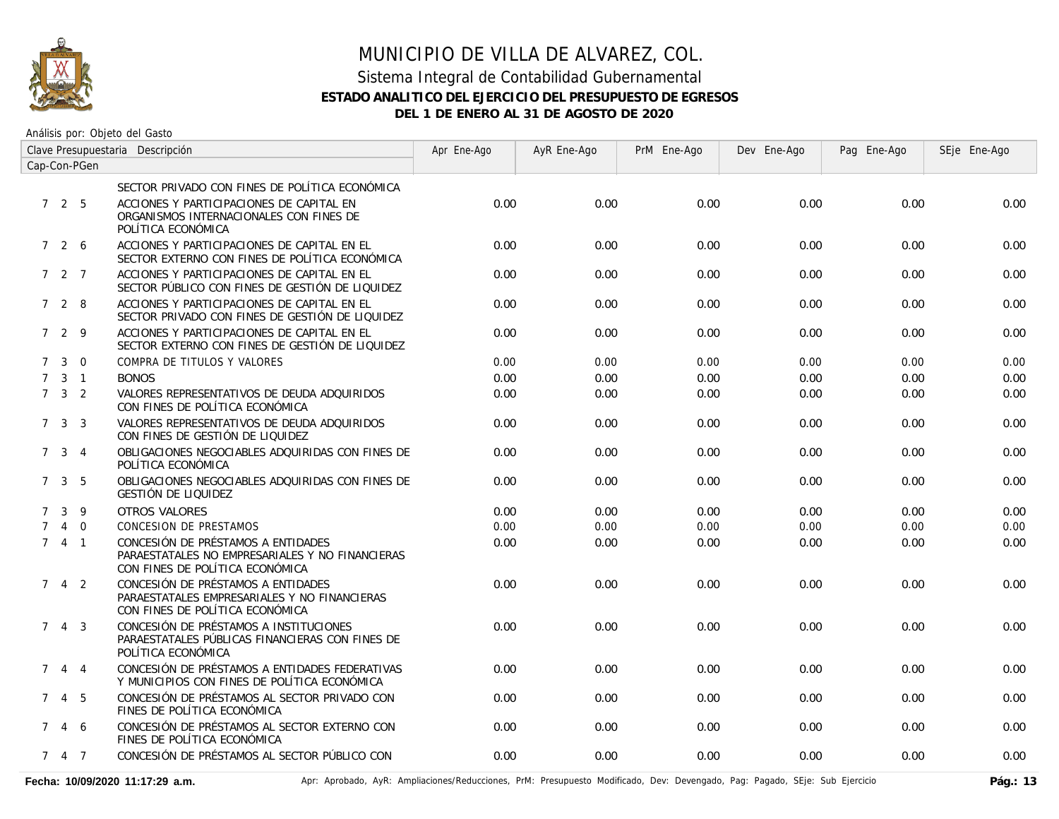

Análisis por: Objeto del Gasto

| Clave Presupuestaria Descripción |                     |                |                                                                                                                          | Apr Ene-Ago | AyR Ene-Ago | PrM Ene-Ago | Dev Ene-Ago | Pag Ene-Ago | SEje Ene-Ago |
|----------------------------------|---------------------|----------------|--------------------------------------------------------------------------------------------------------------------------|-------------|-------------|-------------|-------------|-------------|--------------|
| Cap-Con-PGen                     |                     |                |                                                                                                                          |             |             |             |             |             |              |
|                                  |                     |                | SECTOR PRIVADO CON FINES DE POLÍTICA ECONÓMICA                                                                           |             |             |             |             |             |              |
|                                  | 725                 |                | ACCIONES Y PARTICIPACIONES DE CAPITAL EN<br>ORGANISMOS INTERNACIONALES CON FINES DE<br>POLÍTICA ECONÓMICA                | 0.00        | 0.00        | 0.00        | 0.00        | 0.00        | 0.00         |
|                                  | 7 2 6               |                | ACCIONES Y PARTICIPACIONES DE CAPITAL EN EL<br>SECTOR EXTERNO CON FINES DE POLÍTICA ECONÓMICA                            | 0.00        | 0.00        | 0.00        | 0.00        | 0.00        | 0.00         |
|                                  | 7 2 7               |                | ACCIONES Y PARTICIPACIONES DE CAPITAL EN EL<br>SECTOR PÚBLICO CON FINES DE GESTIÓN DE LIQUIDEZ                           | 0.00        | 0.00        | 0.00        | 0.00        | 0.00        | 0.00         |
|                                  | 728                 |                | ACCIONES Y PARTICIPACIONES DE CAPITAL EN EL<br>SECTOR PRIVADO CON FINES DE GESTIÓN DE LIQUIDEZ                           | 0.00        | 0.00        | 0.00        | 0.00        | 0.00        | 0.00         |
|                                  | 7 2 9               |                | ACCIONES Y PARTICIPACIONES DE CAPITAL EN EL<br>SECTOR EXTERNO CON FINES DE GESTIÓN DE LIQUIDEZ                           | 0.00        | 0.00        | 0.00        | 0.00        | 0.00        | 0.00         |
| $7^{\circ}$                      | $\mathbf{3}$        | $\Omega$       | COMPRA DE TITULOS Y VALORES                                                                                              | 0.00        | 0.00        | 0.00        | 0.00        | 0.00        | 0.00         |
| $7^{\circ}$                      |                     | $3 \quad 1$    | <b>BONOS</b>                                                                                                             | 0.00        | 0.00        | 0.00        | 0.00        | 0.00        | 0.00         |
|                                  | $7 \quad 3 \quad 2$ |                | VALORES REPRESENTATIVOS DE DEUDA ADQUIRIDOS<br>CON FINES DE POLÍTICA ECONÓMICA                                           | 0.00        | 0.00        | 0.00        | 0.00        | 0.00        | 0.00         |
|                                  | $7 \quad 3 \quad 3$ |                | VALORES REPRESENTATIVOS DE DEUDA ADQUIRIDOS<br>CON FINES DE GESTIÓN DE LIQUIDEZ                                          | 0.00        | 0.00        | 0.00        | 0.00        | 0.00        | 0.00         |
|                                  | $7 \quad 3 \quad 4$ |                | OBLIGACIONES NEGOCIABLES ADQUIRIDAS CON FINES DE<br>POLÍTICA ECONÓMICA                                                   | 0.00        | 0.00        | 0.00        | 0.00        | 0.00        | 0.00         |
| 7                                |                     | 3 <sub>5</sub> | OBLIGACIONES NEGOCIABLES ADQUIRIDAS CON FINES DE<br>GESTIÓN DE LIQUIDEZ                                                  | 0.00        | 0.00        | 0.00        | 0.00        | 0.00        | 0.00         |
| $\mathcal{I}$                    | 3                   | 9              | OTROS VALORES                                                                                                            | 0.00        | 0.00        | 0.00        | 0.00        | 0.00        | 0.00         |
| $\overline{7}$                   | $\overline{4}$      | $\overline{0}$ | CONCESION DE PRESTAMOS                                                                                                   | 0.00        | 0.00        | 0.00        | 0.00        | 0.00        | 0.00         |
|                                  | 741                 |                | CONCESIÓN DE PRÉSTAMOS A ENTIDADES<br>PARAESTATALES NO EMPRESARIALES Y NO FINANCIERAS<br>CON FINES DE POLÍTICA ECONÓMICA | 0.00        | 0.00        | 0.00        | 0.00        | 0.00        | 0.00         |
| $7^{\circ}$                      |                     | $4\quad 2$     | CONCESIÓN DE PRÉSTAMOS A ENTIDADES<br>PARAESTATALES EMPRESARIALES Y NO FINANCIERAS<br>CON FINES DE POLÍTICA ECONÓMICA    | 0.00        | 0.00        | 0.00        | 0.00        | 0.00        | 0.00         |
|                                  | $7 \t4 \t3$         |                | CONCESIÓN DE PRÉSTAMOS A INSTITUCIONES<br>PARAESTATALES PÚBLICAS FINANCIERAS CON FINES DE<br>POLÍTICA ECONÓMICA          | 0.00        | 0.00        | 0.00        | 0.00        | 0.00        | 0.00         |
| $7^{\circ}$                      |                     | 4 4            | CONCESIÓN DE PRÉSTAMOS A ENTIDADES FEDERATIVAS<br>Y MUNICIPIOS CON FINES DE POLÍTICA ECONÓMICA                           | 0.00        | 0.00        | 0.00        | 0.00        | 0.00        | 0.00         |
| $7^{\circ}$                      |                     | 4 5            | CONCESIÓN DE PRÉSTAMOS AL SECTOR PRIVADO CON<br>FINES DE POLÍTICA ECONÓMICA                                              | 0.00        | 0.00        | 0.00        | 0.00        | 0.00        | 0.00         |
|                                  | 7 4 6               |                | CONCESIÓN DE PRÉSTAMOS AL SECTOR EXTERNO CON<br>FINES DE POLÍTICA ECONÓMICA                                              | 0.00        | 0.00        | 0.00        | 0.00        | 0.00        | 0.00         |
|                                  | 7 4 7               |                | CONCESIÓN DE PRÉSTAMOS AL SECTOR PÚBLICO CON                                                                             | 0.00        | 0.00        | 0.00        | 0.00        | 0.00        | 0.00         |

Fecha: 10/09/2020 11:17:29 a.m. **Aprical Access** Aprical AyR: Ampliaciones/Reducciones, PrM: Presupuesto Modificado, Dev: Devengado, Pag: Pagado, SEje: Sub Ejercicio Pág.: 13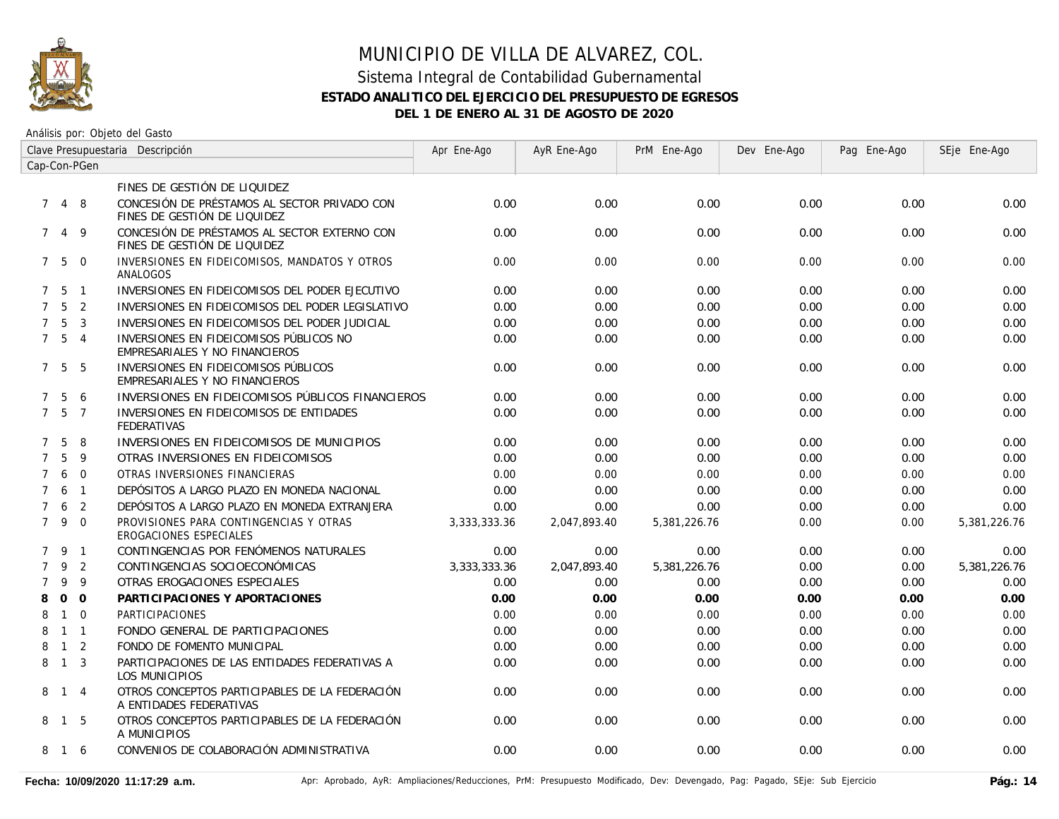

| Clave Presupuestaria Descripción |                   |                |                                                                              | Apr Ene-Ago  | AyR Ene-Ago  | PrM Ene-Ago  | Dev Ene-Ago | Pag Ene-Ago | SEje Ene-Ago |
|----------------------------------|-------------------|----------------|------------------------------------------------------------------------------|--------------|--------------|--------------|-------------|-------------|--------------|
| Cap-Con-PGen                     |                   |                |                                                                              |              |              |              |             |             |              |
|                                  |                   |                | FINES DE GESTIÓN DE LIQUIDEZ                                                 |              |              |              |             |             |              |
| $7^{\circ}$                      |                   | 4 8            | CONCESIÓN DE PRÉSTAMOS AL SECTOR PRIVADO CON<br>FINES DE GESTIÓN DE LIQUIDEZ | 0.00         | 0.00         | 0.00         | 0.00        | 0.00        | 0.00         |
| 7                                |                   | 4 9            | CONCESIÓN DE PRÉSTAMOS AL SECTOR EXTERNO CON<br>FINES DE GESTIÓN DE LIQUIDEZ | 0.00         | 0.00         | 0.00         | 0.00        | 0.00        | 0.00         |
|                                  | $7\quad 5\quad 0$ |                | INVERSIONES EN FIDEICOMISOS, MANDATOS Y OTROS<br>ANALOGOS                    | 0.00         | 0.00         | 0.00         | 0.00        | 0.00        | 0.00         |
|                                  | 7 <sub>5</sub>    | $\overline{1}$ | INVERSIONES EN FIDEICOMISOS DEL PODER EJECUTIVO                              | 0.00         | 0.00         | 0.00         | 0.00        | 0.00        | 0.00         |
| $7^{\circ}$                      | 5                 | 2              | INVERSIONES EN FIDEICOMISOS DEL PODER LEGISLATIVO                            | 0.00         | 0.00         | 0.00         | 0.00        | 0.00        | 0.00         |
| $7^{\circ}$                      | 5                 | $\overline{3}$ | INVERSIONES EN FIDEICOMISOS DEL PODER JUDICIAL                               | 0.00         | 0.00         | 0.00         | 0.00        | 0.00        | 0.00         |
| $7^{\circ}$                      | $5\overline{)}$   | $\overline{4}$ | INVERSIONES EN FIDEICOMISOS PÚBLICOS NO<br>EMPRESARIALES Y NO FINANCIEROS    | 0.00         | 0.00         | 0.00         | 0.00        | 0.00        | 0.00         |
|                                  | 7 5               | -5             | INVERSIONES EN FIDEICOMISOS PÚBLICOS<br>EMPRESARIALES Y NO FINANCIEROS       | 0.00         | 0.00         | 0.00         | 0.00        | 0.00        | 0.00         |
| 7                                | 5                 | 6              | INVERSIONES EN FIDEICOMISOS PÚBLICOS FINANCIEROS                             | 0.00         | 0.00         | 0.00         | 0.00        | 0.00        | 0.00         |
|                                  | 7 <sub>5</sub>    | $\overline{7}$ | INVERSIONES EN FIDEICOMISOS DE ENTIDADES<br><b>FEDERATIVAS</b>               | 0.00         | 0.00         | 0.00         | 0.00        | 0.00        | 0.00         |
| $\mathcal{I}$                    | 5                 | 8              | INVERSIONES EN FIDEICOMISOS DE MUNICIPIOS                                    | 0.00         | 0.00         | 0.00         | 0.00        | 0.00        | 0.00         |
| $\overline{7}$                   | 5                 | 9              | OTRAS INVERSIONES EN FIDEICOMISOS                                            | 0.00         | 0.00         | 0.00         | 0.00        | 0.00        | 0.00         |
| $\overline{7}$                   | 6                 | $\mathbf 0$    | OTRAS INVERSIONES FINANCIERAS                                                | 0.00         | 0.00         | 0.00         | 0.00        | 0.00        | 0.00         |
| $\overline{7}$                   | 6                 | $\overline{1}$ | DEPÓSITOS A LARGO PLAZO EN MONEDA NACIONAL                                   | 0.00         | 0.00         | 0.00         | 0.00        | 0.00        | 0.00         |
| $\mathcal{I}$                    | 6                 | 2              | DEPÓSITOS A LARGO PLAZO EN MONEDA EXTRANJERA                                 | 0.00         | 0.00         | 0.00         | 0.00        | 0.00        | 0.00         |
|                                  | 7 <sup>9</sup>    | $\Omega$       | PROVISIONES PARA CONTINGENCIAS Y OTRAS<br><b>EROGACIONES ESPECIALES</b>      | 3,333,333.36 | 2,047,893.40 | 5,381,226.76 | 0.00        | 0.00        | 5,381,226.76 |
|                                  | 7 9               | $\overline{1}$ | CONTINGENCIAS POR FENÓMENOS NATURALES                                        | 0.00         | 0.00         | 0.00         | 0.00        | 0.00        | 0.00         |
| $\overline{7}$                   | 9                 | 2              | CONTINGENCIAS SOCIOECONÓMICAS                                                | 3,333,333.36 | 2,047,893.40 | 5,381,226.76 | 0.00        | 0.00        | 5,381,226.76 |
| 7                                | 9                 | 9              | OTRAS EROGACIONES ESPECIALES                                                 | 0.00         | 0.00         | 0.00         | 0.00        | 0.00        | 0.00         |
| 8                                | $\Omega$          | $\Omega$       | PARTICIPACIONES Y APORTACIONES                                               | 0.00         | 0.00         | 0.00         | 0.00        | 0.00        | 0.00         |
| 8                                | $\mathbf{1}$      | $\overline{0}$ | <b>PARTICIPACIONES</b>                                                       | 0.00         | 0.00         | 0.00         | 0.00        | 0.00        | 0.00         |
| 8                                | $1 \quad 1$       |                | FONDO GENERAL DE PARTICIPACIONES                                             | 0.00         | 0.00         | 0.00         | 0.00        | 0.00        | 0.00         |
| 8                                | $\overline{1}$    | $\overline{2}$ | FONDO DE FOMENTO MUNICIPAL                                                   | 0.00         | 0.00         | 0.00         | 0.00        | 0.00        | 0.00         |
| 8                                | $\overline{1}$    | $\overline{3}$ | PARTICIPACIONES DE LAS ENTIDADES FEDERATIVAS A<br>LOS MUNICIPIOS             | 0.00         | 0.00         | 0.00         | 0.00        | 0.00        | 0.00         |
| 8                                | $1\quad 4$        |                | OTROS CONCEPTOS PARTICIPABLES DE LA FEDERACIÓN<br>A ENTIDADES FEDERATIVAS    | 0.00         | 0.00         | 0.00         | 0.00        | 0.00        | 0.00         |
| 8                                | $\overline{1}$    | - 5            | OTROS CONCEPTOS PARTICIPABLES DE LA FEDERACIÓN<br>A MUNICIPIOS               | 0.00         | 0.00         | 0.00         | 0.00        | 0.00        | 0.00         |
|                                  | 8 1 6             |                | CONVENIOS DE COLABORACIÓN ADMINISTRATIVA                                     | 0.00         | 0.00         | 0.00         | 0.00        | 0.00        | 0.00         |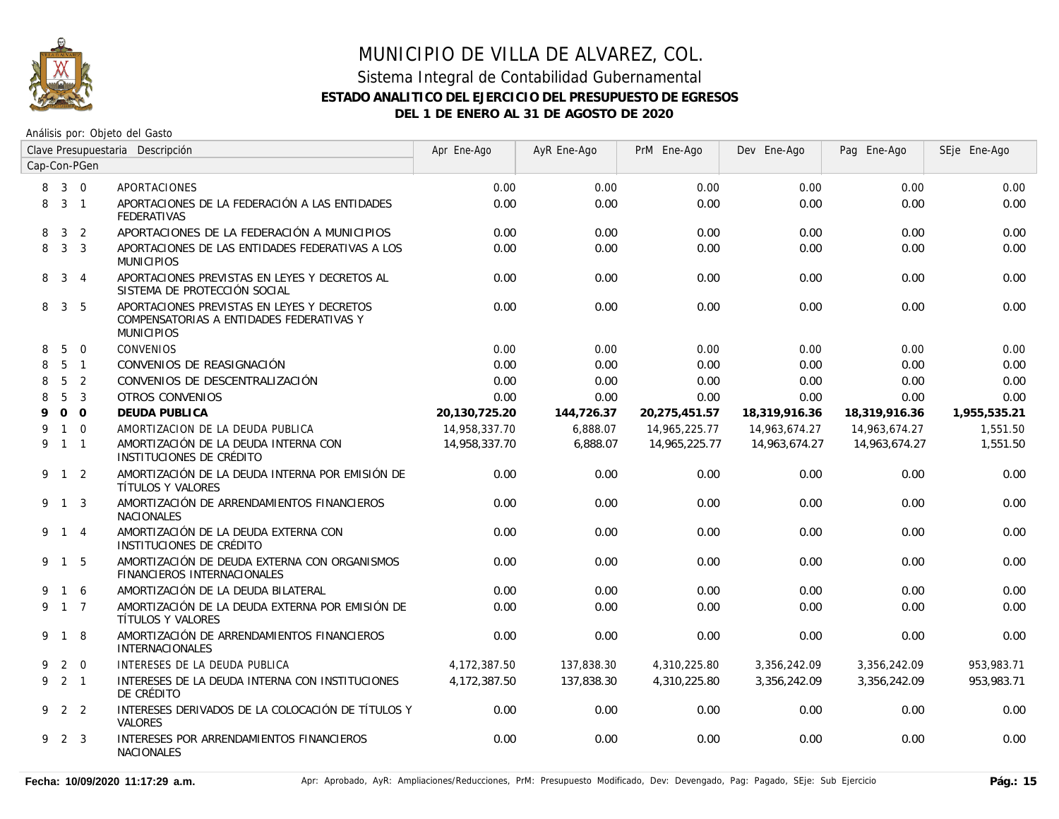

| Clave Presupuestaria Descripción |                     |                |                                                                                                             | Apr Ene-Ago   | AyR Ene-Ago | PrM Ene-Ago   | Dev Ene-Ago   | Pag Ene-Ago   | SEje Ene-Ago |
|----------------------------------|---------------------|----------------|-------------------------------------------------------------------------------------------------------------|---------------|-------------|---------------|---------------|---------------|--------------|
| Cap-Con-PGen                     |                     |                |                                                                                                             |               |             |               |               |               |              |
| 8                                | $3 \quad 0$         |                | APORTACIONES                                                                                                | 0.00          | 0.00        | 0.00          | 0.00          | 0.00          | 0.00         |
| 8                                | $3 \quad 1$         |                | APORTACIONES DE LA FEDERACIÓN A LAS ENTIDADES<br>FEDERATIVAS                                                | 0.00          | 0.00        | 0.00          | 0.00          | 0.00          | 0.00         |
| 8                                | 3 <sup>1</sup>      | $\overline{2}$ | APORTACIONES DE LA FEDERACIÓN A MUNICIPIOS                                                                  | 0.00          | 0.00        | 0.00          | 0.00          | 0.00          | 0.00         |
| 8                                |                     | 3 <sup>3</sup> | APORTACIONES DE LAS ENTIDADES FEDERATIVAS A LOS<br><b>MUNICIPIOS</b>                                        | 0.00          | 0.00        | 0.00          | 0.00          | 0.00          | 0.00         |
| 8                                |                     | $3 \quad 4$    | APORTACIONES PREVISTAS EN LEYES Y DECRETOS AL<br>SISTEMA DE PROTECCIÓN SOCIAL                               | 0.00          | 0.00        | 0.00          | 0.00          | 0.00          | 0.00         |
| 8                                |                     | 3 <sub>5</sub> | APORTACIONES PREVISTAS EN LEYES Y DECRETOS<br>COMPENSATORIAS A ENTIDADES FEDERATIVAS Y<br><b>MUNICIPIOS</b> | 0.00          | 0.00        | 0.00          | 0.00          | 0.00          | 0.00         |
| 8                                | 5                   | $\overline{0}$ | <b>CONVENIOS</b>                                                                                            | 0.00          | 0.00        | 0.00          | 0.00          | 0.00          | 0.00         |
| 8                                |                     | 5 <sub>1</sub> | CONVENIOS DE REASIGNACIÓN                                                                                   | 0.00          | 0.00        | 0.00          | 0.00          | 0.00          | 0.00         |
| 8                                | 5                   | $\overline{2}$ | CONVENIOS DE DESCENTRALIZACIÓN                                                                              | 0.00          | 0.00        | 0.00          | 0.00          | 0.00          | 0.00         |
| 8                                | 5                   | $\overline{3}$ | OTROS CONVENIOS                                                                                             | 0.00          | 0.00        | 0.00          | 0.00          | 0.00          | 0.00         |
| 9                                |                     | 0 <sub>0</sub> | <b>DEUDA PUBLICA</b>                                                                                        | 20,130,725.20 | 144,726.37  | 20,275,451.57 | 18,319,916.36 | 18,319,916.36 | 1,955,535.21 |
| 9                                |                     | $1 \quad 0$    | AMORTIZACION DE LA DEUDA PUBLICA                                                                            | 14,958,337.70 | 6,888.07    | 14,965,225.77 | 14,963,674.27 | 14,963,674.27 | 1,551.50     |
|                                  | 9 1 1               |                | AMORTIZACIÓN DE LA DEUDA INTERNA CON<br>INSTITUCIONES DE CRÉDITO                                            | 14,958,337.70 | 6,888.07    | 14,965,225.77 | 14,963,674.27 | 14,963,674.27 | 1,551.50     |
|                                  | 9 1 2               |                | AMORTIZACIÓN DE LA DEUDA INTERNA POR EMISIÓN DE<br>TÍTULOS Y VALORES                                        | 0.00          | 0.00        | 0.00          | 0.00          | 0.00          | 0.00         |
|                                  | 9 1 3               |                | AMORTIZACIÓN DE ARRENDAMIENTOS FINANCIEROS<br><b>NACIONALES</b>                                             | 0.00          | 0.00        | 0.00          | 0.00          | 0.00          | 0.00         |
|                                  | 9 1 4               |                | AMORTIZACIÓN DE LA DEUDA EXTERNA CON<br>INSTITUCIONES DE CRÉDITO                                            | 0.00          | 0.00        | 0.00          | 0.00          | 0.00          | 0.00         |
|                                  | 9 1 5               |                | AMORTIZACIÓN DE DEUDA EXTERNA CON ORGANISMOS<br><b>FINANCIEROS INTERNACIONALES</b>                          | 0.00          | 0.00        | 0.00          | 0.00          | 0.00          | 0.00         |
| 9                                | 1 6                 |                | AMORTIZACIÓN DE LA DEUDA BILATERAL                                                                          | 0.00          | 0.00        | 0.00          | 0.00          | 0.00          | 0.00         |
|                                  | $9 \t1 \t7$         |                | AMORTIZACIÓN DE LA DEUDA EXTERNA POR EMISIÓN DE<br>TÍTULOS Y VALORES                                        | 0.00          | 0.00        | 0.00          | 0.00          | 0.00          | 0.00         |
|                                  | 9 1 8               |                | AMORTIZACIÓN DE ARRENDAMIENTOS FINANCIEROS<br><b>INTERNACIONALES</b>                                        | 0.00          | 0.00        | 0.00          | 0.00          | 0.00          | 0.00         |
| 9                                |                     | $2 \quad 0$    | INTERESES DE LA DEUDA PUBLICA                                                                               | 4,172,387.50  | 137,838.30  | 4,310,225.80  | 3,356,242.09  | 3,356,242.09  | 953,983.71   |
|                                  | $9 \quad 2 \quad 1$ |                | INTERESES DE LA DEUDA INTERNA CON INSTITUCIONES<br>DE CRÉDITO                                               | 4,172,387.50  | 137,838.30  | 4,310,225.80  | 3,356,242.09  | 3,356,242.09  | 953,983.71   |
|                                  | 922                 |                | INTERESES DERIVADOS DE LA COLOCACIÓN DE TÍTULOS Y<br><b>VALORES</b>                                         | 0.00          | 0.00        | 0.00          | 0.00          | 0.00          | 0.00         |
| 9                                | 2 3                 |                | INTERESES POR ARRENDAMIENTOS FINANCIEROS<br><b>NACIONALES</b>                                               | 0.00          | 0.00        | 0.00          | 0.00          | 0.00          | 0.00         |